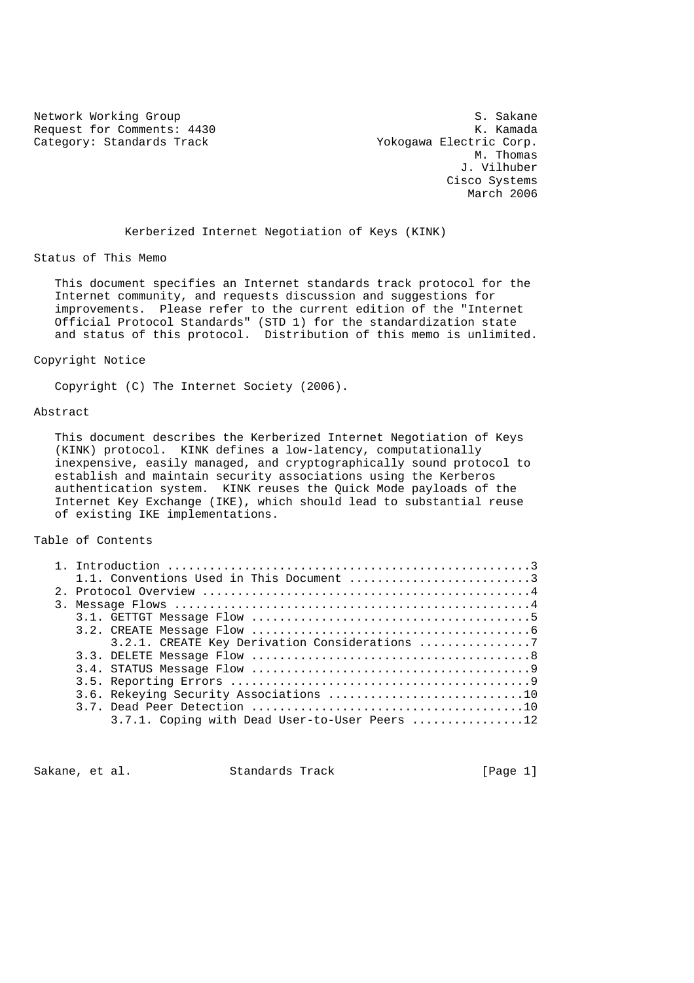Network Working Group<br>Request for Comments: 4430 Sexteen State State State State State State State State State State State State State Request for Comments: 4430 Category: Standards Track Track Yokogawa Electric Corp.

 M. Thomas J. Vilhuber Cisco Systems March 2006

Kerberized Internet Negotiation of Keys (KINK)

Status of This Memo

 This document specifies an Internet standards track protocol for the Internet community, and requests discussion and suggestions for improvements. Please refer to the current edition of the "Internet Official Protocol Standards" (STD 1) for the standardization state and status of this protocol. Distribution of this memo is unlimited.

#### Copyright Notice

Copyright (C) The Internet Society (2006).

#### Abstract

 This document describes the Kerberized Internet Negotiation of Keys (KINK) protocol. KINK defines a low-latency, computationally inexpensive, easily managed, and cryptographically sound protocol to establish and maintain security associations using the Kerberos authentication system. KINK reuses the Quick Mode payloads of the Internet Key Exchange (IKE), which should lead to substantial reuse of existing IKE implementations.

Table of Contents

|  | 1.1. Conventions Used in This Document 3      |
|--|-----------------------------------------------|
|  |                                               |
|  |                                               |
|  |                                               |
|  |                                               |
|  |                                               |
|  |                                               |
|  |                                               |
|  |                                               |
|  | 3.6. Rekeying Security Associations 10        |
|  |                                               |
|  | 3.7.1. Coping with Dead User-to-User Peers 12 |
|  |                                               |

Sakane, et al. Standards Track [Page 1]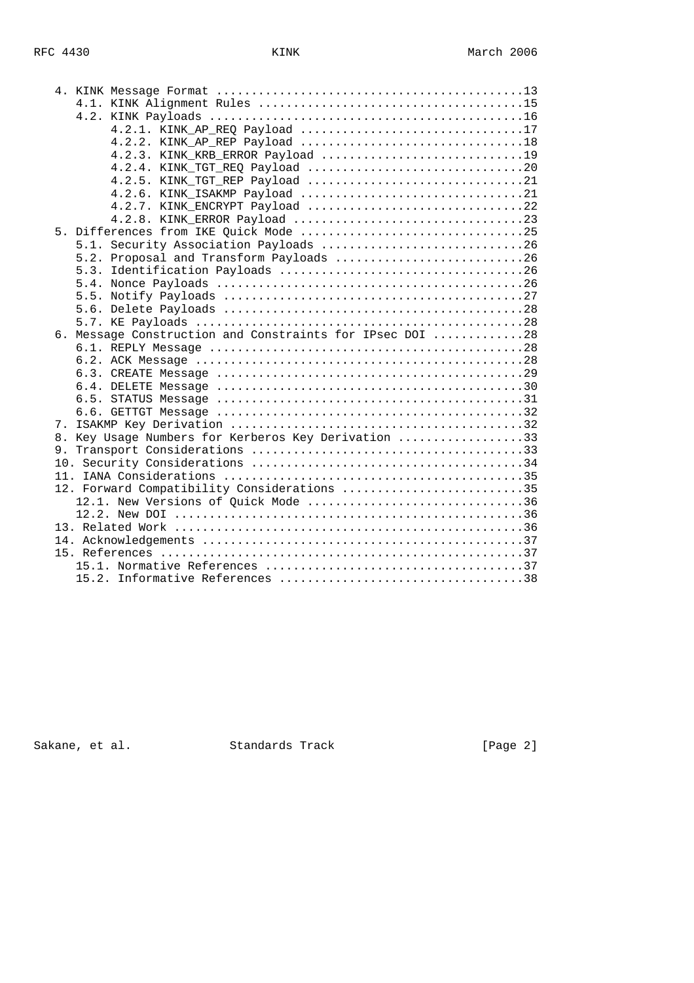|  | 4.2.1. KINK AP REO Payload 17                                                                       |
|--|-----------------------------------------------------------------------------------------------------|
|  |                                                                                                     |
|  | 4.2.3. KINK_KRB_ERROR Payload 19                                                                    |
|  |                                                                                                     |
|  |                                                                                                     |
|  |                                                                                                     |
|  | 4.2.7. KINK_ENCRYPT Payload 22                                                                      |
|  |                                                                                                     |
|  |                                                                                                     |
|  | 5.1. Security Association Payloads 26                                                               |
|  | 5.2. Proposal and Transform Payloads 26                                                             |
|  |                                                                                                     |
|  |                                                                                                     |
|  |                                                                                                     |
|  |                                                                                                     |
|  |                                                                                                     |
|  | 6. Message Construction and Constraints for IPsec DOI 28                                            |
|  |                                                                                                     |
|  |                                                                                                     |
|  |                                                                                                     |
|  |                                                                                                     |
|  | 6.5. STATUS Message $\dots\dots\dots\dots\dots\dots\dots\dots\dots\dots\dots\dots\dots\dots\dots31$ |
|  |                                                                                                     |
|  |                                                                                                     |
|  | 8. Key Usage Numbers for Kerberos Key Derivation 33                                                 |
|  |                                                                                                     |
|  |                                                                                                     |
|  |                                                                                                     |
|  | 12. Forward Compatibility Considerations 35                                                         |
|  | 12.1. New Versions of Quick Mode 36                                                                 |
|  |                                                                                                     |
|  |                                                                                                     |
|  |                                                                                                     |
|  |                                                                                                     |
|  |                                                                                                     |
|  |                                                                                                     |

Sakane, et al. Standards Track (Page 2)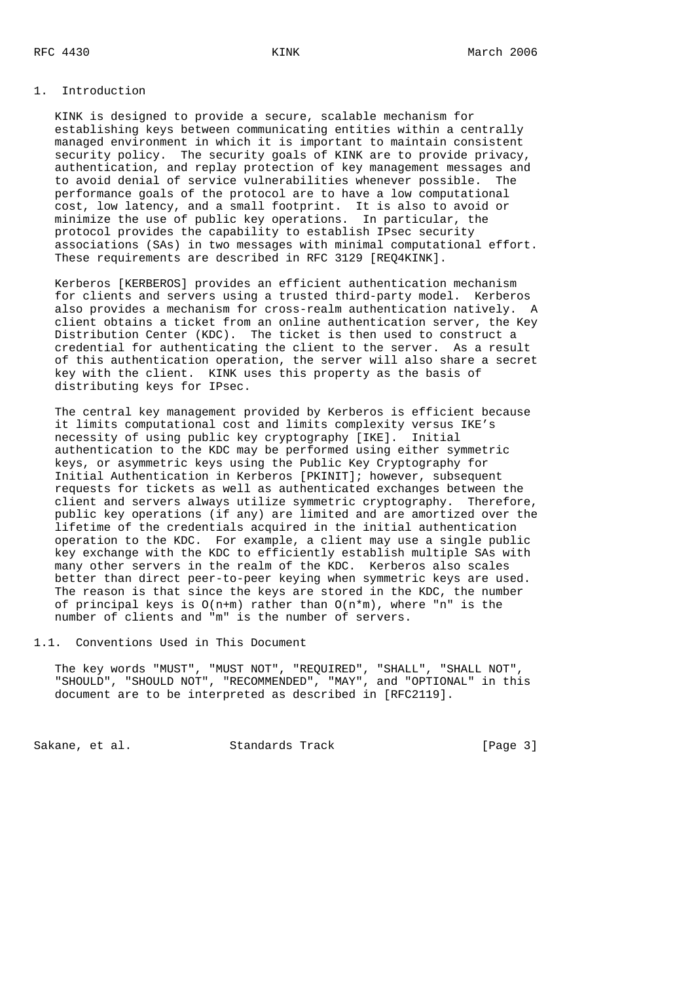#### 1. Introduction

 KINK is designed to provide a secure, scalable mechanism for establishing keys between communicating entities within a centrally managed environment in which it is important to maintain consistent security policy. The security goals of KINK are to provide privacy, authentication, and replay protection of key management messages and to avoid denial of service vulnerabilities whenever possible. The performance goals of the protocol are to have a low computational cost, low latency, and a small footprint. It is also to avoid or minimize the use of public key operations. In particular, the protocol provides the capability to establish IPsec security associations (SAs) in two messages with minimal computational effort. These requirements are described in RFC 3129 [REQ4KINK].

 Kerberos [KERBEROS] provides an efficient authentication mechanism for clients and servers using a trusted third-party model. Kerberos also provides a mechanism for cross-realm authentication natively. A client obtains a ticket from an online authentication server, the Key Distribution Center (KDC). The ticket is then used to construct a credential for authenticating the client to the server. As a result of this authentication operation, the server will also share a secret key with the client. KINK uses this property as the basis of distributing keys for IPsec.

 The central key management provided by Kerberos is efficient because it limits computational cost and limits complexity versus IKE's necessity of using public key cryptography [IKE]. Initial authentication to the KDC may be performed using either symmetric keys, or asymmetric keys using the Public Key Cryptography for Initial Authentication in Kerberos [PKINIT]; however, subsequent requests for tickets as well as authenticated exchanges between the client and servers always utilize symmetric cryptography. Therefore, public key operations (if any) are limited and are amortized over the lifetime of the credentials acquired in the initial authentication operation to the KDC. For example, a client may use a single public key exchange with the KDC to efficiently establish multiple SAs with many other servers in the realm of the KDC. Kerberos also scales better than direct peer-to-peer keying when symmetric keys are used. The reason is that since the keys are stored in the KDC, the number of principal keys is  $O(n+m)$  rather than  $O(n*m)$ , where "n" is the number of clients and "m" is the number of servers.

1.1. Conventions Used in This Document

 The key words "MUST", "MUST NOT", "REQUIRED", "SHALL", "SHALL NOT", "SHOULD", "SHOULD NOT", "RECOMMENDED", "MAY", and "OPTIONAL" in this document are to be interpreted as described in [RFC2119].

Sakane, et al. Standards Track [Page 3]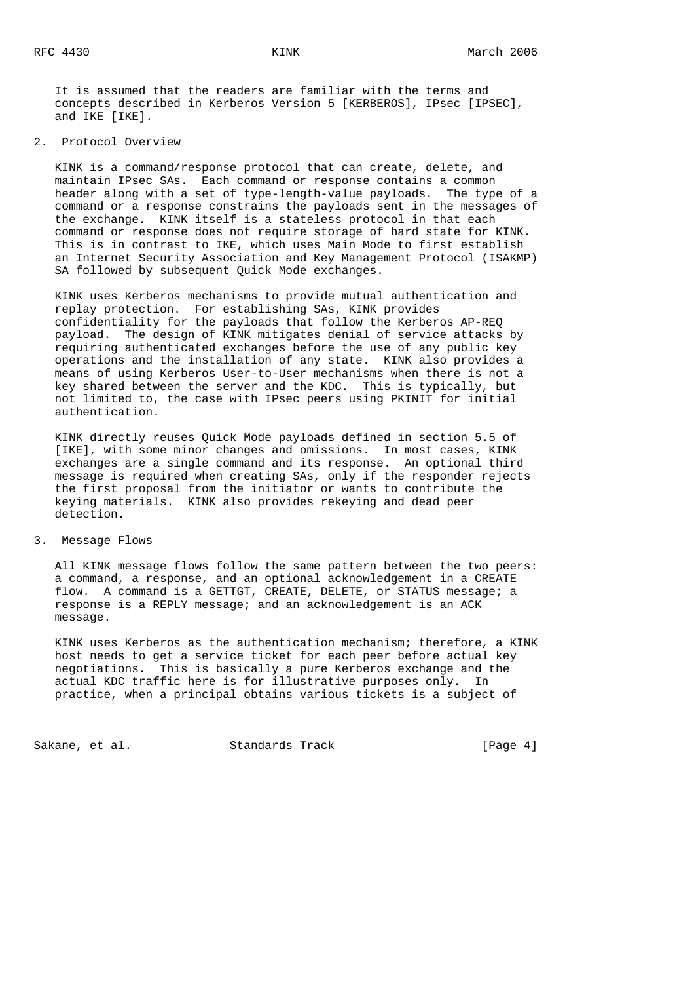It is assumed that the readers are familiar with the terms and concepts described in Kerberos Version 5 [KERBEROS], IPsec [IPSEC], and IKE [IKE].

2. Protocol Overview

 KINK is a command/response protocol that can create, delete, and maintain IPsec SAs. Each command or response contains a common header along with a set of type-length-value payloads. The type of a command or a response constrains the payloads sent in the messages of the exchange. KINK itself is a stateless protocol in that each command or response does not require storage of hard state for KINK. This is in contrast to IKE, which uses Main Mode to first establish an Internet Security Association and Key Management Protocol (ISAKMP) SA followed by subsequent Quick Mode exchanges.

 KINK uses Kerberos mechanisms to provide mutual authentication and replay protection. For establishing SAs, KINK provides confidentiality for the payloads that follow the Kerberos AP-REQ payload. The design of KINK mitigates denial of service attacks by requiring authenticated exchanges before the use of any public key operations and the installation of any state. KINK also provides a means of using Kerberos User-to-User mechanisms when there is not a key shared between the server and the KDC. This is typically, but not limited to, the case with IPsec peers using PKINIT for initial authentication.

 KINK directly reuses Quick Mode payloads defined in section 5.5 of [IKE], with some minor changes and omissions. In most cases, KINK exchanges are a single command and its response. An optional third message is required when creating SAs, only if the responder rejects the first proposal from the initiator or wants to contribute the keying materials. KINK also provides rekeying and dead peer detection.

3. Message Flows

 All KINK message flows follow the same pattern between the two peers: a command, a response, and an optional acknowledgement in a CREATE flow. A command is a GETTGT, CREATE, DELETE, or STATUS message; a response is a REPLY message; and an acknowledgement is an ACK message.

 KINK uses Kerberos as the authentication mechanism; therefore, a KINK host needs to get a service ticket for each peer before actual key negotiations. This is basically a pure Kerberos exchange and the actual KDC traffic here is for illustrative purposes only. In practice, when a principal obtains various tickets is a subject of

Sakane, et al. Standards Track [Page 4]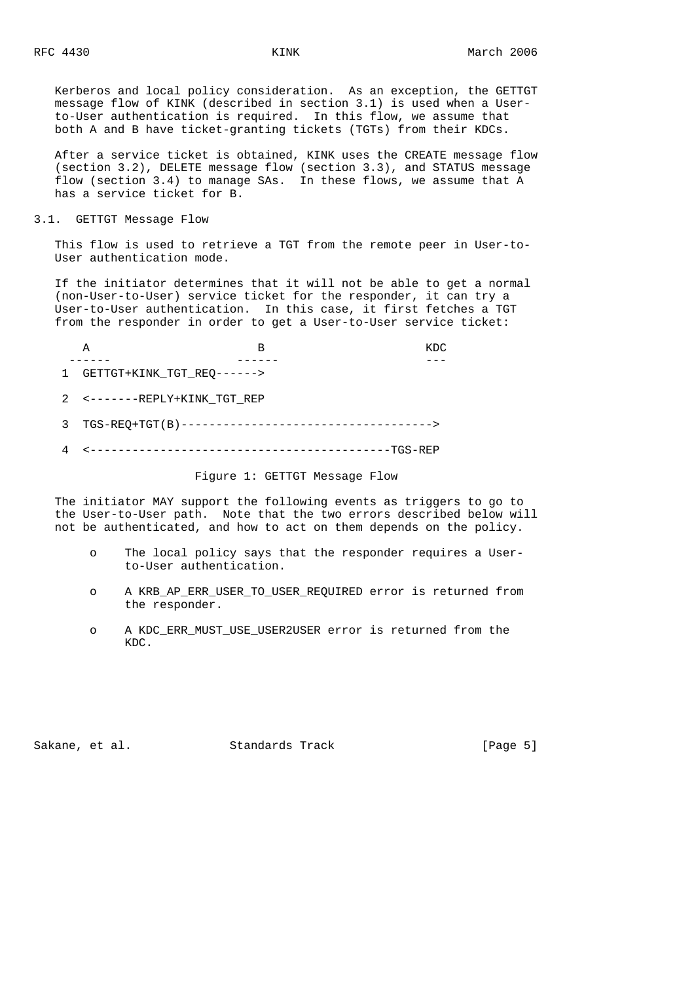Kerberos and local policy consideration. As an exception, the GETTGT message flow of KINK (described in section 3.1) is used when a User to-User authentication is required. In this flow, we assume that both A and B have ticket-granting tickets (TGTs) from their KDCs.

 After a service ticket is obtained, KINK uses the CREATE message flow (section 3.2), DELETE message flow (section 3.3), and STATUS message flow (section 3.4) to manage SAs. In these flows, we assume that A has a service ticket for B.

3.1. GETTGT Message Flow

 This flow is used to retrieve a TGT from the remote peer in User-to- User authentication mode.

 If the initiator determines that it will not be able to get a normal (non-User-to-User) service ticket for the responder, it can try a User-to-User authentication. In this case, it first fetches a TGT from the responder in order to get a User-to-User service ticket:

| GETTGT+KINK TGT_REQ------> |  |
|----------------------------|--|

- 2 <-------REPLY+KINK\_TGT\_REP
- 3 TGS-REQ+TGT(B)------------------------------------>
- 4 <-------------------------------------------TGS-REP

Figure 1: GETTGT Message Flow

 The initiator MAY support the following events as triggers to go to the User-to-User path. Note that the two errors described below will not be authenticated, and how to act on them depends on the policy.

- o The local policy says that the responder requires a User to-User authentication.
- o A KRB\_AP\_ERR\_USER\_TO\_USER\_REQUIRED error is returned from the responder.
- o A KDC\_ERR\_MUST\_USE\_USER2USER error is returned from the KDC.

Sakane, et al. Standards Track [Page 5]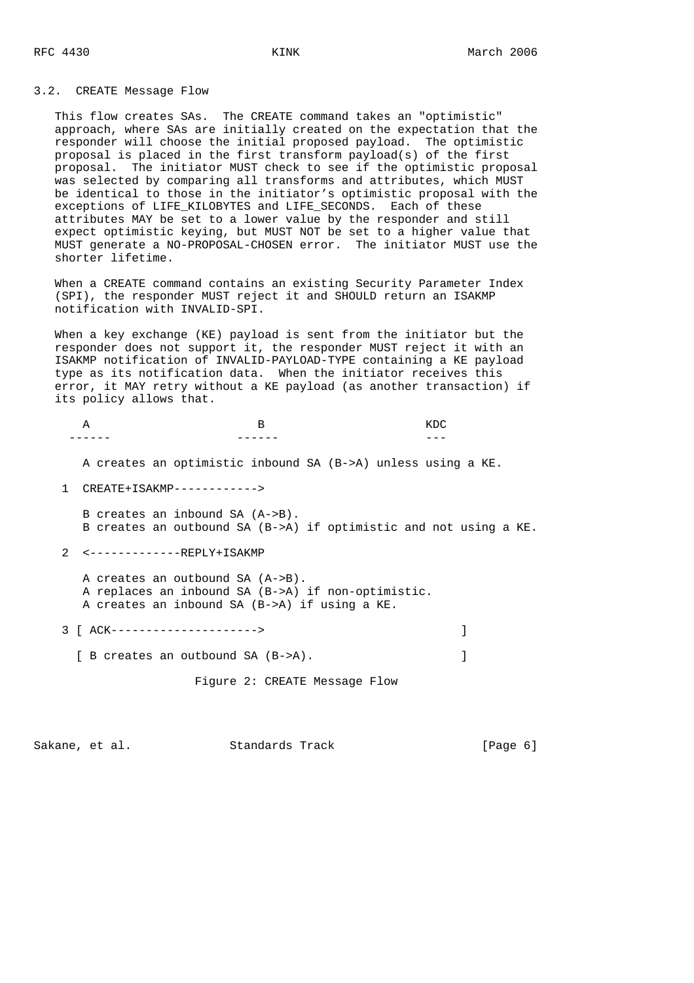#### 3.2. CREATE Message Flow

 This flow creates SAs. The CREATE command takes an "optimistic" approach, where SAs are initially created on the expectation that the responder will choose the initial proposed payload. The optimistic proposal is placed in the first transform payload(s) of the first proposal. The initiator MUST check to see if the optimistic proposal was selected by comparing all transforms and attributes, which MUST be identical to those in the initiator's optimistic proposal with the exceptions of LIFE KILOBYTES and LIFE SECONDS. Each of these attributes MAY be set to a lower value by the responder and still expect optimistic keying, but MUST NOT be set to a higher value that MUST generate a NO-PROPOSAL-CHOSEN error. The initiator MUST use the shorter lifetime.

 When a CREATE command contains an existing Security Parameter Index (SPI), the responder MUST reject it and SHOULD return an ISAKMP notification with INVALID-SPI.

 When a key exchange (KE) payload is sent from the initiator but the responder does not support it, the responder MUST reject it with an ISAKMP notification of INVALID-PAYLOAD-TYPE containing a KE payload type as its notification data. When the initiator receives this error, it MAY retry without a KE payload (as another transaction) if its policy allows that.

A B KDC ------ ------ --- A creates an optimistic inbound SA (B->A) unless using a KE. 1 CREATE+ISAKMP------------> B creates an inbound SA (A->B). B creates an outbound SA (B->A) if optimistic and not using a KE. 2 <-------------REPLY+ISAKMP A creates an outbound SA (A->B). A replaces an inbound SA (B->A) if non-optimistic. A creates an inbound SA (B->A) if using a KE. 3 [ ACK---------------------> ] [ B creates an outbound SA (B->A). Figure 2: CREATE Message Flow

Sakane, et al. Standards Track [Page 6]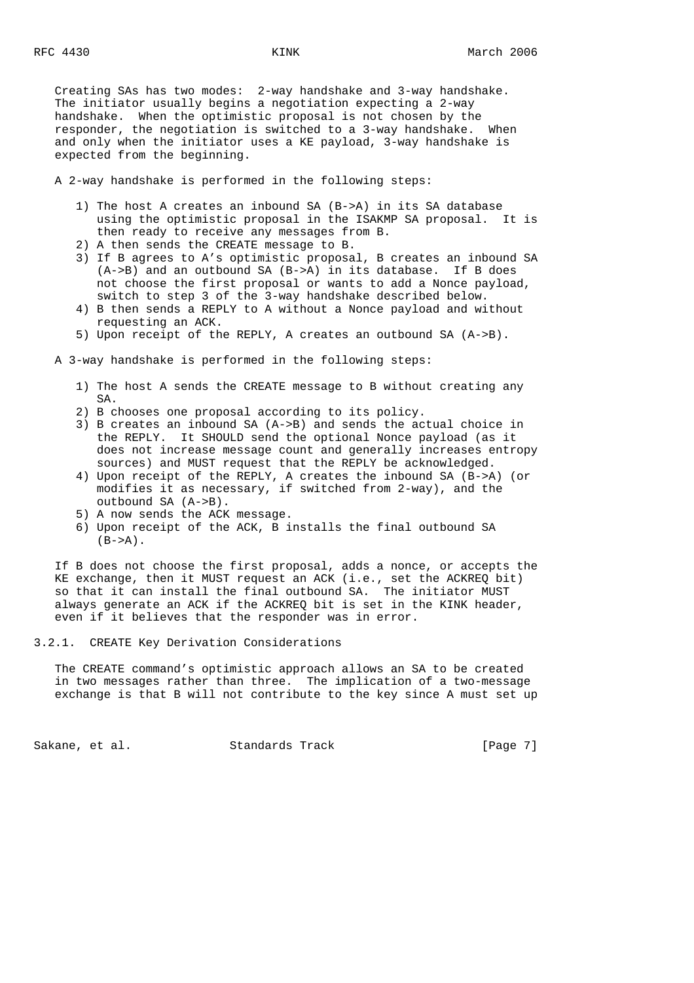Creating SAs has two modes: 2-way handshake and 3-way handshake. The initiator usually begins a negotiation expecting a 2-way handshake. When the optimistic proposal is not chosen by the responder, the negotiation is switched to a 3-way handshake. When and only when the initiator uses a KE payload, 3-way handshake is expected from the beginning.

A 2-way handshake is performed in the following steps:

- 1) The host A creates an inbound SA (B->A) in its SA database using the optimistic proposal in the ISAKMP SA proposal. It is then ready to receive any messages from B.
- 2) A then sends the CREATE message to B.
- 3) If B agrees to A's optimistic proposal, B creates an inbound SA (A->B) and an outbound SA (B->A) in its database. If B does not choose the first proposal or wants to add a Nonce payload, switch to step 3 of the 3-way handshake described below.
- 4) B then sends a REPLY to A without a Nonce payload and without requesting an ACK.
- 5) Upon receipt of the REPLY, A creates an outbound SA (A->B).

A 3-way handshake is performed in the following steps:

- 1) The host A sends the CREATE message to B without creating any SA.
- 2) B chooses one proposal according to its policy.
- 3) B creates an inbound SA (A->B) and sends the actual choice in the REPLY. It SHOULD send the optional Nonce payload (as it does not increase message count and generally increases entropy sources) and MUST request that the REPLY be acknowledged.
- 4) Upon receipt of the REPLY, A creates the inbound SA (B->A) (or modifies it as necessary, if switched from 2-way), and the outbound SA (A->B).
- 5) A now sends the ACK message.
- 6) Upon receipt of the ACK, B installs the final outbound SA  $(B->A)$ .

 If B does not choose the first proposal, adds a nonce, or accepts the KE exchange, then it MUST request an ACK (i.e., set the ACKREQ bit) so that it can install the final outbound SA. The initiator MUST always generate an ACK if the ACKREQ bit is set in the KINK header, even if it believes that the responder was in error.

3.2.1. CREATE Key Derivation Considerations

 The CREATE command's optimistic approach allows an SA to be created in two messages rather than three. The implication of a two-message exchange is that B will not contribute to the key since A must set up

Sakane, et al. Standards Track [Page 7]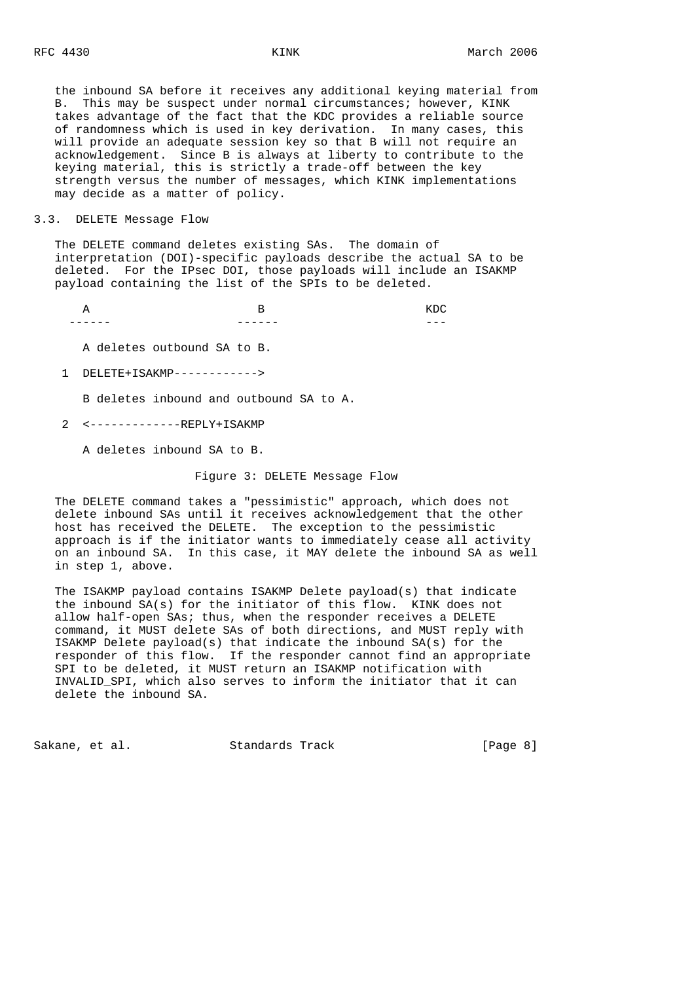the inbound SA before it receives any additional keying material from B. This may be suspect under normal circumstances; however, KINK takes advantage of the fact that the KDC provides a reliable source of randomness which is used in key derivation. In many cases, this will provide an adequate session key so that B will not require an acknowledgement. Since B is always at liberty to contribute to the keying material, this is strictly a trade-off between the key strength versus the number of messages, which KINK implementations may decide as a matter of policy.

## 3.3. DELETE Message Flow

 The DELETE command deletes existing SAs. The domain of interpretation (DOI)-specific payloads describe the actual SA to be deleted. For the IPsec DOI, those payloads will include an ISAKMP payload containing the list of the SPIs to be deleted.

A B KDC ------ ------ ---

A deletes outbound SA to B.

1 DELETE+ISAKMP------------>

B deletes inbound and outbound SA to A.

2 <-------------REPLY+ISAKMP

A deletes inbound SA to B.

## Figure 3: DELETE Message Flow

 The DELETE command takes a "pessimistic" approach, which does not delete inbound SAs until it receives acknowledgement that the other host has received the DELETE. The exception to the pessimistic approach is if the initiator wants to immediately cease all activity on an inbound SA. In this case, it MAY delete the inbound SA as well in step 1, above.

 The ISAKMP payload contains ISAKMP Delete payload(s) that indicate the inbound SA(s) for the initiator of this flow. KINK does not allow half-open SAs; thus, when the responder receives a DELETE command, it MUST delete SAs of both directions, and MUST reply with ISAKMP Delete payload(s) that indicate the inbound SA(s) for the responder of this flow. If the responder cannot find an appropriate SPI to be deleted, it MUST return an ISAKMP notification with INVALID\_SPI, which also serves to inform the initiator that it can delete the inbound SA.

Sakane, et al. Standards Track [Page 8]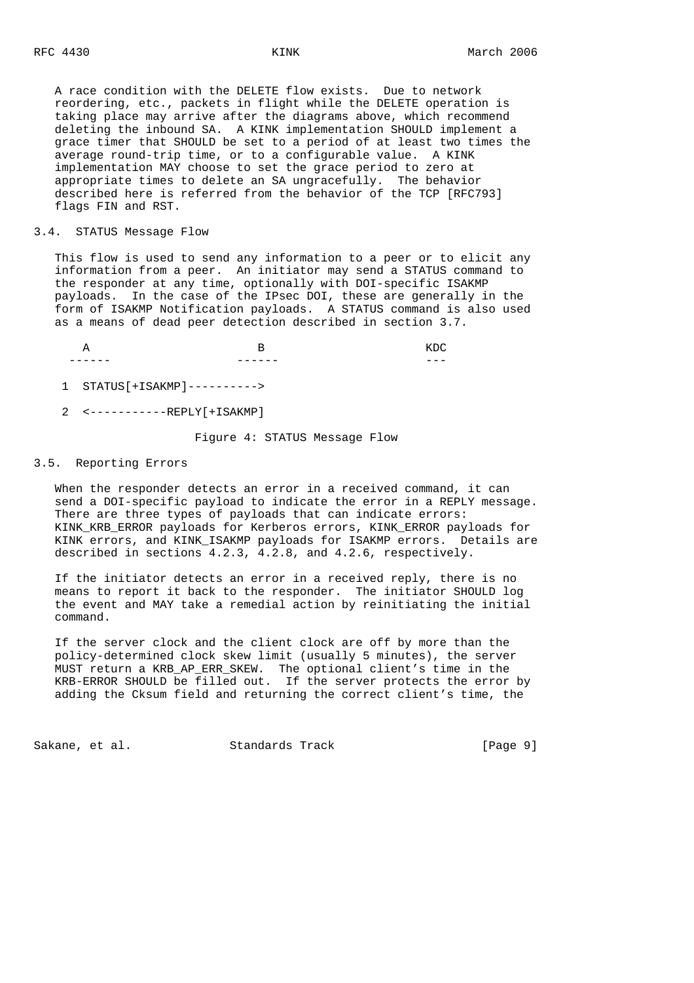A race condition with the DELETE flow exists. Due to network reordering, etc., packets in flight while the DELETE operation is taking place may arrive after the diagrams above, which recommend deleting the inbound SA. A KINK implementation SHOULD implement a grace timer that SHOULD be set to a period of at least two times the average round-trip time, or to a configurable value. A KINK implementation MAY choose to set the grace period to zero at appropriate times to delete an SA ungracefully. The behavior described here is referred from the behavior of the TCP [RFC793] flags FIN and RST.

## 3.4. STATUS Message Flow

 This flow is used to send any information to a peer or to elicit any information from a peer. An initiator may send a STATUS command to the responder at any time, optionally with DOI-specific ISAKMP payloads. In the case of the IPsec DOI, these are generally in the form of ISAKMP Notification payloads. A STATUS command is also used as a means of dead peer detection described in section 3.7.

A B KDC ------ ------ ---

1 STATUS[+ISAKMP]---------->

2 <-----------REPLY[+ISAKMP]

Figure 4: STATUS Message Flow

# 3.5. Reporting Errors

 When the responder detects an error in a received command, it can send a DOI-specific payload to indicate the error in a REPLY message. There are three types of payloads that can indicate errors: KINK KRB ERROR payloads for Kerberos errors, KINK\_ERROR payloads for KINK errors, and KINK\_ISAKMP payloads for ISAKMP errors. Details are described in sections 4.2.3, 4.2.8, and 4.2.6, respectively.

 If the initiator detects an error in a received reply, there is no means to report it back to the responder. The initiator SHOULD log the event and MAY take a remedial action by reinitiating the initial command.

 If the server clock and the client clock are off by more than the policy-determined clock skew limit (usually 5 minutes), the server MUST return a KRB\_AP\_ERR\_SKEW. The optional client's time in the KRB-ERROR SHOULD be filled out. If the server protects the error by adding the Cksum field and returning the correct client's time, the

Sakane, et al. Standards Track [Page 9]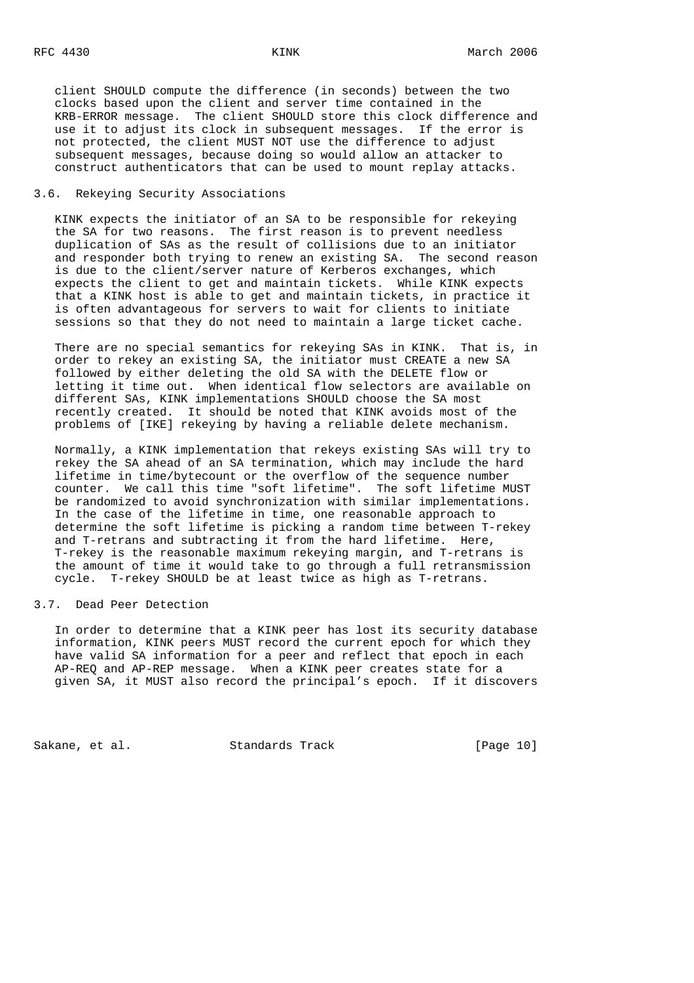client SHOULD compute the difference (in seconds) between the two clocks based upon the client and server time contained in the KRB-ERROR message. The client SHOULD store this clock difference and use it to adjust its clock in subsequent messages. If the error is not protected, the client MUST NOT use the difference to adjust subsequent messages, because doing so would allow an attacker to construct authenticators that can be used to mount replay attacks.

# 3.6. Rekeying Security Associations

 KINK expects the initiator of an SA to be responsible for rekeying the SA for two reasons. The first reason is to prevent needless duplication of SAs as the result of collisions due to an initiator and responder both trying to renew an existing SA. The second reason is due to the client/server nature of Kerberos exchanges, which expects the client to get and maintain tickets. While KINK expects that a KINK host is able to get and maintain tickets, in practice it is often advantageous for servers to wait for clients to initiate sessions so that they do not need to maintain a large ticket cache.

 There are no special semantics for rekeying SAs in KINK. That is, in order to rekey an existing SA, the initiator must CREATE a new SA followed by either deleting the old SA with the DELETE flow or letting it time out. When identical flow selectors are available on different SAs, KINK implementations SHOULD choose the SA most recently created. It should be noted that KINK avoids most of the problems of [IKE] rekeying by having a reliable delete mechanism.

 Normally, a KINK implementation that rekeys existing SAs will try to rekey the SA ahead of an SA termination, which may include the hard lifetime in time/bytecount or the overflow of the sequence number counter. We call this time "soft lifetime". The soft lifetime MUST be randomized to avoid synchronization with similar implementations. In the case of the lifetime in time, one reasonable approach to determine the soft lifetime is picking a random time between T-rekey and T-retrans and subtracting it from the hard lifetime. Here, T-rekey is the reasonable maximum rekeying margin, and T-retrans is the amount of time it would take to go through a full retransmission cycle. T-rekey SHOULD be at least twice as high as T-retrans.

#### 3.7. Dead Peer Detection

 In order to determine that a KINK peer has lost its security database information, KINK peers MUST record the current epoch for which they have valid SA information for a peer and reflect that epoch in each AP-REQ and AP-REP message. When a KINK peer creates state for a given SA, it MUST also record the principal's epoch. If it discovers

Sakane, et al. Standards Track [Page 10]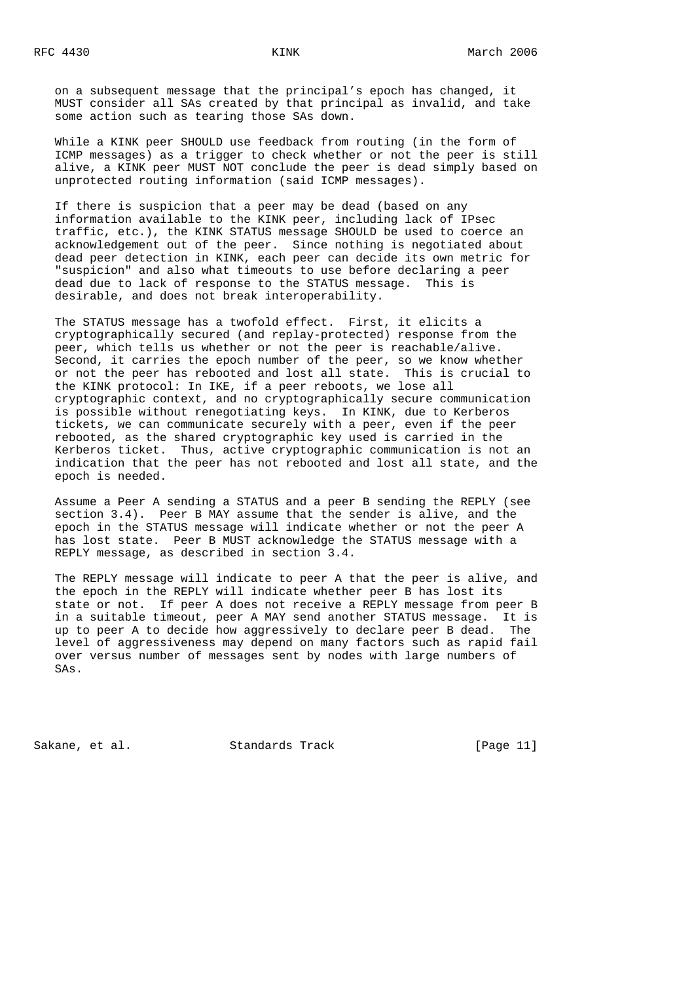on a subsequent message that the principal's epoch has changed, it MUST consider all SAs created by that principal as invalid, and take some action such as tearing those SAs down.

 While a KINK peer SHOULD use feedback from routing (in the form of ICMP messages) as a trigger to check whether or not the peer is still alive, a KINK peer MUST NOT conclude the peer is dead simply based on unprotected routing information (said ICMP messages).

 If there is suspicion that a peer may be dead (based on any information available to the KINK peer, including lack of IPsec traffic, etc.), the KINK STATUS message SHOULD be used to coerce an acknowledgement out of the peer. Since nothing is negotiated about dead peer detection in KINK, each peer can decide its own metric for "suspicion" and also what timeouts to use before declaring a peer dead due to lack of response to the STATUS message. This is desirable, and does not break interoperability.

 The STATUS message has a twofold effect. First, it elicits a cryptographically secured (and replay-protected) response from the peer, which tells us whether or not the peer is reachable/alive. Second, it carries the epoch number of the peer, so we know whether or not the peer has rebooted and lost all state. This is crucial to the KINK protocol: In IKE, if a peer reboots, we lose all cryptographic context, and no cryptographically secure communication is possible without renegotiating keys. In KINK, due to Kerberos tickets, we can communicate securely with a peer, even if the peer rebooted, as the shared cryptographic key used is carried in the Kerberos ticket. Thus, active cryptographic communication is not an indication that the peer has not rebooted and lost all state, and the epoch is needed.

 Assume a Peer A sending a STATUS and a peer B sending the REPLY (see section 3.4). Peer B MAY assume that the sender is alive, and the epoch in the STATUS message will indicate whether or not the peer A has lost state. Peer B MUST acknowledge the STATUS message with a REPLY message, as described in section 3.4.

 The REPLY message will indicate to peer A that the peer is alive, and the epoch in the REPLY will indicate whether peer B has lost its state or not. If peer A does not receive a REPLY message from peer B in a suitable timeout, peer A MAY send another STATUS message. It is up to peer A to decide how aggressively to declare peer B dead. The level of aggressiveness may depend on many factors such as rapid fail over versus number of messages sent by nodes with large numbers of SAs.

Sakane, et al. Standards Track [Page 11]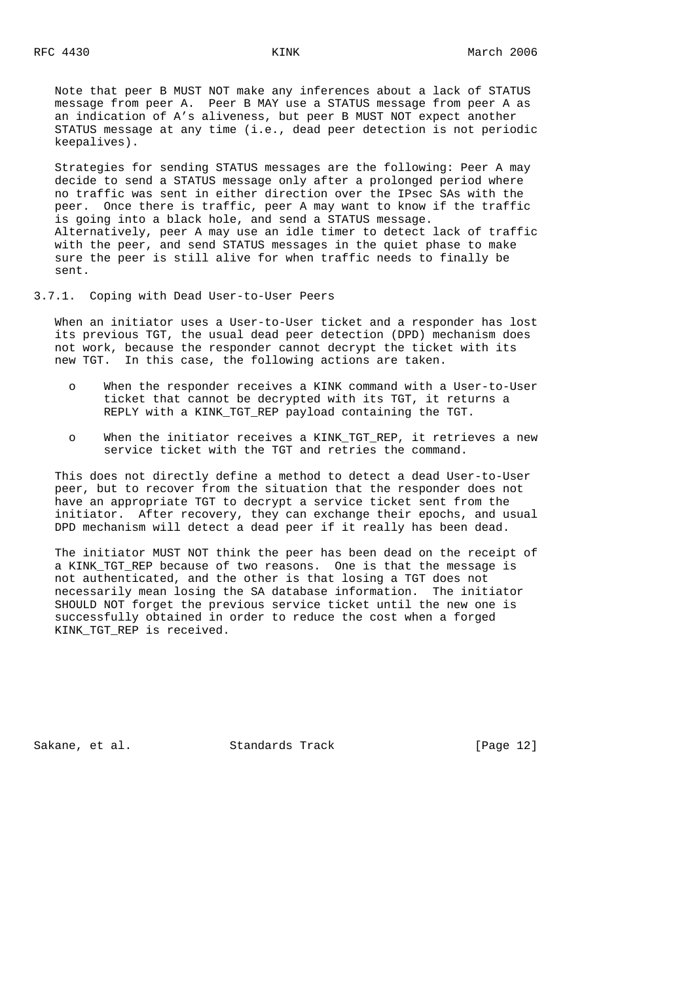Note that peer B MUST NOT make any inferences about a lack of STATUS message from peer A. Peer B MAY use a STATUS message from peer A as an indication of A's aliveness, but peer B MUST NOT expect another STATUS message at any time (i.e., dead peer detection is not periodic keepalives).

 Strategies for sending STATUS messages are the following: Peer A may decide to send a STATUS message only after a prolonged period where no traffic was sent in either direction over the IPsec SAs with the peer. Once there is traffic, peer A may want to know if the traffic is going into a black hole, and send a STATUS message. Alternatively, peer A may use an idle timer to detect lack of traffic with the peer, and send STATUS messages in the quiet phase to make sure the peer is still alive for when traffic needs to finally be sent.

3.7.1. Coping with Dead User-to-User Peers

 When an initiator uses a User-to-User ticket and a responder has lost its previous TGT, the usual dead peer detection (DPD) mechanism does not work, because the responder cannot decrypt the ticket with its new TGT. In this case, the following actions are taken.

- o When the responder receives a KINK command with a User-to-User ticket that cannot be decrypted with its TGT, it returns a REPLY with a KINK\_TGT\_REP payload containing the TGT.
- o When the initiator receives a KINK\_TGT\_REP, it retrieves a new service ticket with the TGT and retries the command.

 This does not directly define a method to detect a dead User-to-User peer, but to recover from the situation that the responder does not have an appropriate TGT to decrypt a service ticket sent from the initiator. After recovery, they can exchange their epochs, and usual DPD mechanism will detect a dead peer if it really has been dead.

 The initiator MUST NOT think the peer has been dead on the receipt of a KINK\_TGT\_REP because of two reasons. One is that the message is not authenticated, and the other is that losing a TGT does not necessarily mean losing the SA database information. The initiator SHOULD NOT forget the previous service ticket until the new one is successfully obtained in order to reduce the cost when a forged KINK\_TGT\_REP is received.

Sakane, et al. Standards Track [Page 12]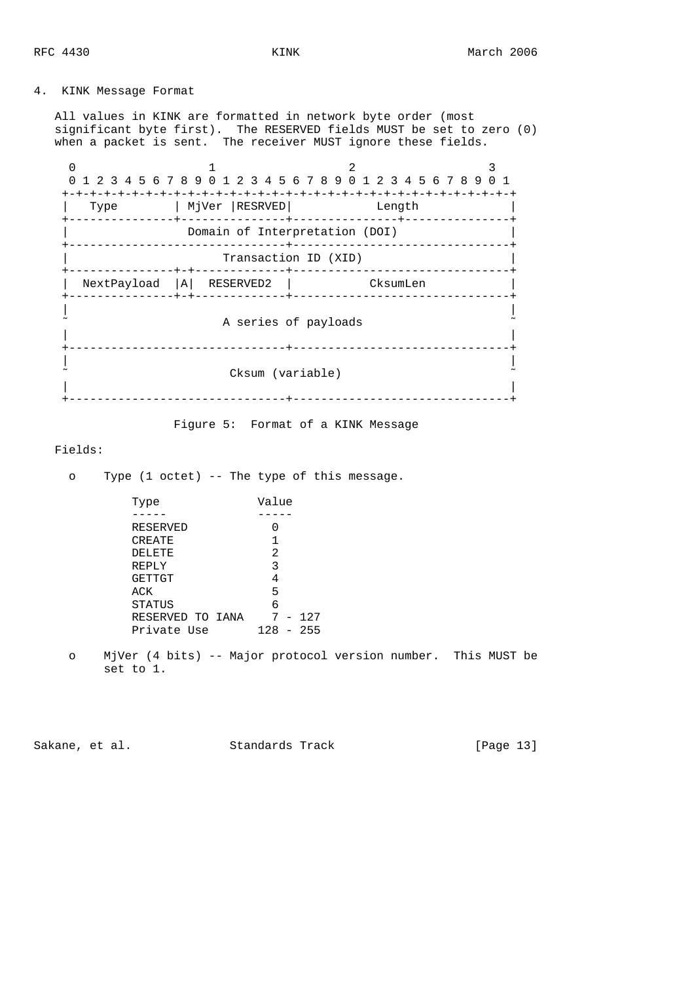# 4. KINK Message Format

 All values in KINK are formatted in network byte order (most significant byte first). The RESERVED fields MUST be set to zero (0) when a packet is sent. The receiver MUST ignore these fields.

|      |                                | 1 2 3 4 5 6 7 8 9 0 1 2 3 4 5 6 7 8 9 0 1 2 3 4 5 6 7 8 9 0 1 |  |
|------|--------------------------------|---------------------------------------------------------------|--|
| Type | MjVer  RESRVED                 | Length                                                        |  |
|      | Domain of Interpretation (DOI) |                                                               |  |
|      | Transaction ID (XID)<br>$+-+$  |                                                               |  |
|      | $NextPayload  A $ RESERVED2    | CksumLen                                                      |  |
|      | A series of payloads           |                                                               |  |
|      | Cksum (variable)               |                                                               |  |

Figure 5: Format of a KINK Message

# Fields:

o Type (1 octet) -- The type of this message.

| Type             | Value       |
|------------------|-------------|
|                  |             |
| RESERVED         |             |
| CREATE           |             |
| DELETE           | 2           |
| REPLY            | 3           |
| <b>GETTGT</b>    | 4           |
| ACK              | 5           |
| STATUS           | б           |
| RESERVED TO IANA | $7 - 127$   |
| Private Use      | $128 - 255$ |
|                  |             |

 o MjVer (4 bits) -- Major protocol version number. This MUST be set to 1.

Sakane, et al. Standards Track [Page 13]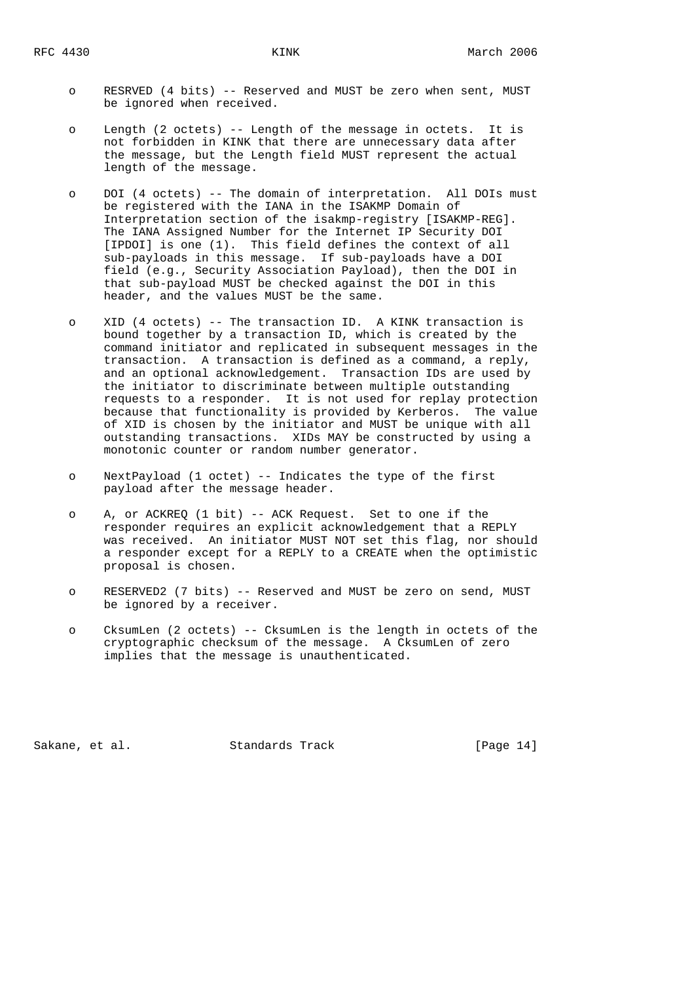- o RESRVED (4 bits) -- Reserved and MUST be zero when sent, MUST be ignored when received.
- o Length (2 octets) -- Length of the message in octets. It is not forbidden in KINK that there are unnecessary data after the message, but the Length field MUST represent the actual length of the message.
- o DOI (4 octets) -- The domain of interpretation. All DOIs must be registered with the IANA in the ISAKMP Domain of Interpretation section of the isakmp-registry [ISAKMP-REG]. The IANA Assigned Number for the Internet IP Security DOI [IPDOI] is one (1). This field defines the context of all sub-payloads in this message. If sub-payloads have a DOI field (e.g., Security Association Payload), then the DOI in that sub-payload MUST be checked against the DOI in this header, and the values MUST be the same.
- o XID (4 octets) -- The transaction ID. A KINK transaction is bound together by a transaction ID, which is created by the command initiator and replicated in subsequent messages in the transaction. A transaction is defined as a command, a reply, and an optional acknowledgement. Transaction IDs are used by the initiator to discriminate between multiple outstanding requests to a responder. It is not used for replay protection because that functionality is provided by Kerberos. The value of XID is chosen by the initiator and MUST be unique with all outstanding transactions. XIDs MAY be constructed by using a monotonic counter or random number generator.
- o NextPayload (1 octet) -- Indicates the type of the first payload after the message header.
- o A, or ACKREQ (1 bit) -- ACK Request. Set to one if the responder requires an explicit acknowledgement that a REPLY was received. An initiator MUST NOT set this flag, nor should a responder except for a REPLY to a CREATE when the optimistic proposal is chosen.
- o RESERVED2 (7 bits) -- Reserved and MUST be zero on send, MUST be ignored by a receiver.
- o CksumLen (2 octets) -- CksumLen is the length in octets of the cryptographic checksum of the message. A CksumLen of zero implies that the message is unauthenticated.

Sakane, et al. Standards Track [Page 14]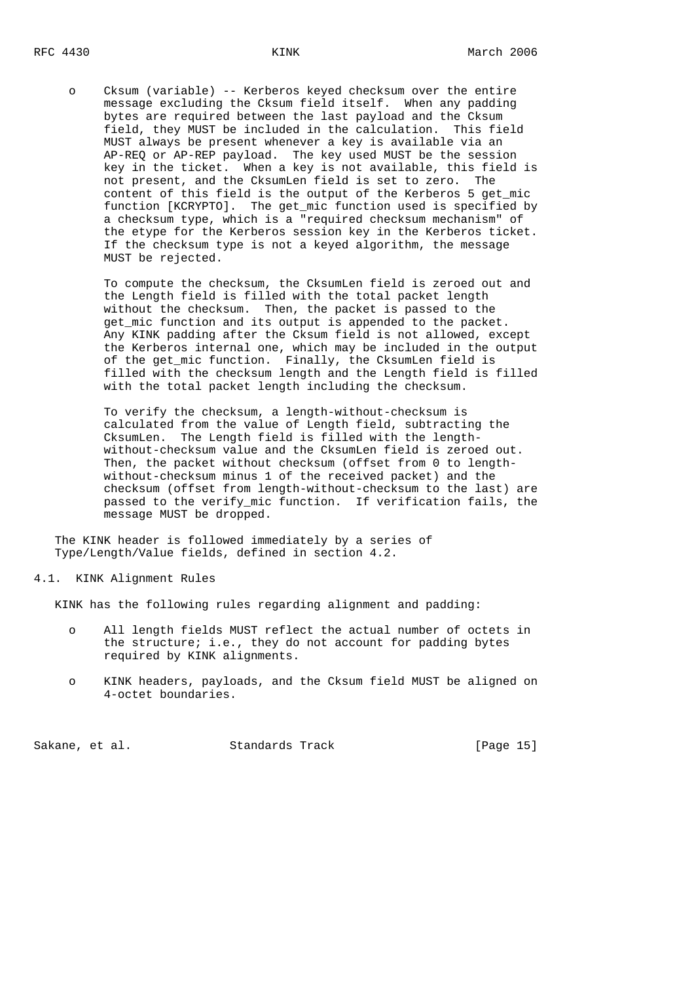o Cksum (variable) -- Kerberos keyed checksum over the entire message excluding the Cksum field itself. When any padding bytes are required between the last payload and the Cksum field, they MUST be included in the calculation. This field MUST always be present whenever a key is available via an AP-REQ or AP-REP payload. The key used MUST be the session key in the ticket. When a key is not available, this field is not present, and the CksumLen field is set to zero. The content of this field is the output of the Kerberos 5 get\_mic function [KCRYPTO]. The get\_mic function used is specified by a checksum type, which is a "required checksum mechanism" of the etype for the Kerberos session key in the Kerberos ticket. If the checksum type is not a keyed algorithm, the message MUST be rejected.

 To compute the checksum, the CksumLen field is zeroed out and the Length field is filled with the total packet length without the checksum. Then, the packet is passed to the get\_mic function and its output is appended to the packet. Any KINK padding after the Cksum field is not allowed, except the Kerberos internal one, which may be included in the output of the get\_mic function. Finally, the CksumLen field is filled with the checksum length and the Length field is filled with the total packet length including the checksum.

> To verify the checksum, a length-without-checksum is calculated from the value of Length field, subtracting the CksumLen. The Length field is filled with the length without-checksum value and the CksumLen field is zeroed out. Then, the packet without checksum (offset from 0 to length without-checksum minus 1 of the received packet) and the checksum (offset from length-without-checksum to the last) are passed to the verify\_mic function. If verification fails, the message MUST be dropped.

 The KINK header is followed immediately by a series of Type/Length/Value fields, defined in section 4.2.

4.1. KINK Alignment Rules

KINK has the following rules regarding alignment and padding:

- o All length fields MUST reflect the actual number of octets in the structure; i.e., they do not account for padding bytes required by KINK alignments.
- o KINK headers, payloads, and the Cksum field MUST be aligned on 4-octet boundaries.

Sakane, et al. Standards Track [Page 15]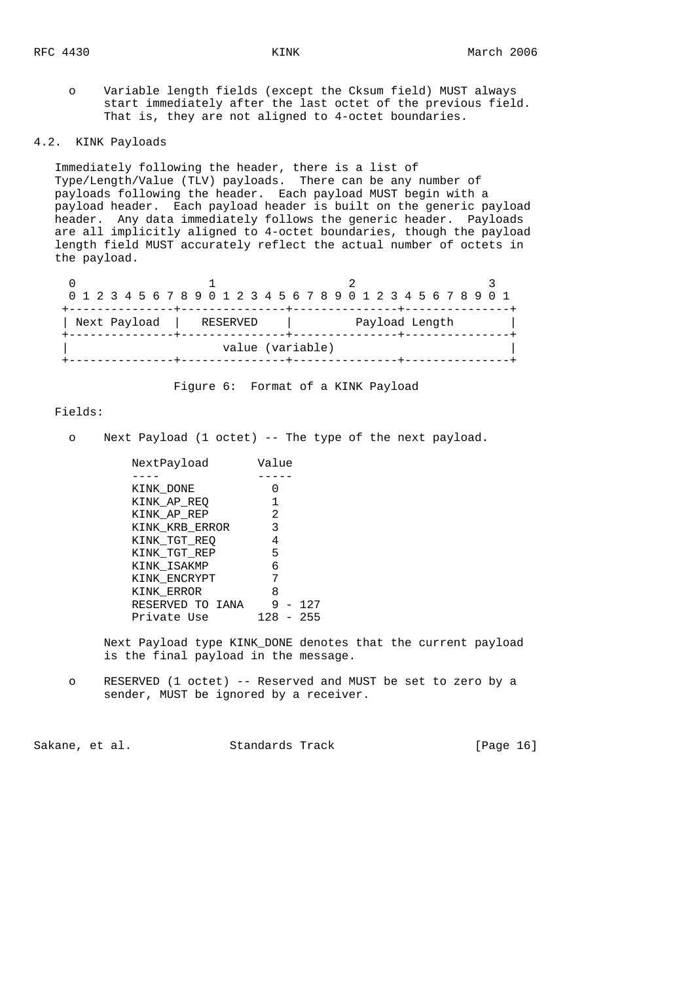o Variable length fields (except the Cksum field) MUST always start immediately after the last octet of the previous field. That is, they are not aligned to 4-octet boundaries.

#### 4.2. KINK Payloads

 Immediately following the header, there is a list of Type/Length/Value (TLV) payloads. There can be any number of payloads following the header. Each payload MUST begin with a payload header. Each payload header is built on the generic payload header. Any data immediately follows the generic header. Payloads are all implicitly aligned to 4-octet boundaries, though the payload length field MUST accurately reflect the actual number of octets in the payload.

| 0 1 2 3 4 5 6 7 8 9 0 1 2 3 4 5 6 7 8 9 0 1 2 3 4 5 6 7 8 9 0 1 |                  |                |
|-----------------------------------------------------------------|------------------|----------------|
|                                                                 |                  |                |
| Next Payload   RESERVED                                         |                  | Payload Length |
|                                                                 | value (variable) |                |
|                                                                 |                  |                |

Figure 6: Format of a KINK Payload

## Fields:

o Next Payload (1 octet) -- The type of the next payload.

| NextPayload      | Value       |  |
|------------------|-------------|--|
|                  |             |  |
| KINK DONE        |             |  |
| KINK AP REO      |             |  |
| KINK AP REP      | 2           |  |
| KINK KRB ERROR   | 3           |  |
| KINK TGT REO     | 4           |  |
| KINK TGT REP     | 5           |  |
| KINK ISAKMP      | 6           |  |
| KINK ENCRYPT     |             |  |
| KINK ERROR       | 8           |  |
| RESERVED TO IANA | $9 - 127$   |  |
| Private Use      | $128 - 255$ |  |
|                  |             |  |

 Next Payload type KINK\_DONE denotes that the current payload is the final payload in the message.

 o RESERVED (1 octet) -- Reserved and MUST be set to zero by a sender, MUST be ignored by a receiver.

Sakane, et al. Standards Track [Page 16]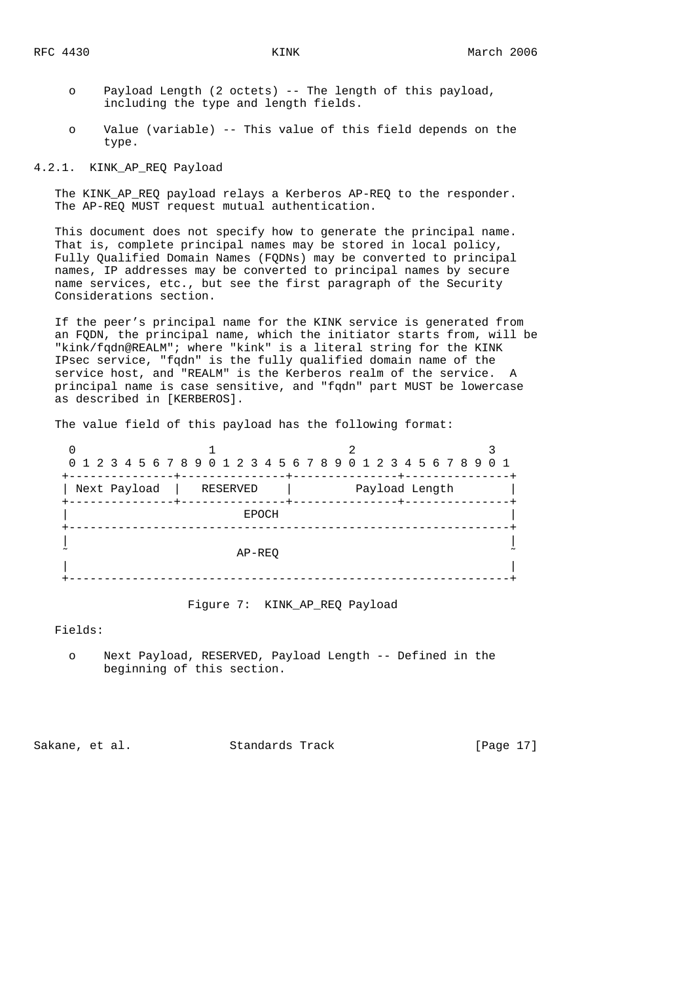- o Payload Length (2 octets) -- The length of this payload, including the type and length fields.
- o Value (variable) -- This value of this field depends on the type.

4.2.1. KINK\_AP\_REQ Payload

The KINK AP REQ payload relays a Kerberos AP-REQ to the responder. The AP-REQ MUST request mutual authentication.

 This document does not specify how to generate the principal name. That is, complete principal names may be stored in local policy, Fully Qualified Domain Names (FQDNs) may be converted to principal names, IP addresses may be converted to principal names by secure name services, etc., but see the first paragraph of the Security Considerations section.

 If the peer's principal name for the KINK service is generated from an FQDN, the principal name, which the initiator starts from, will be "kink/fqdn@REALM"; where "kink" is a literal string for the KINK IPsec service, "fqdn" is the fully qualified domain name of the service host, and "REALM" is the Kerberos realm of the service. A principal name is case sensitive, and "fqdn" part MUST be lowercase as described in [KERBEROS].

The value field of this payload has the following format:

|                                                        |              | 0 1 2 3 4 5 6 7 8 9 0 1 2 3 4 5 6 7 8 9 0 1 2 3 4 5 6 7 8 9 0 1  |  |
|--------------------------------------------------------|--------------|------------------------------------------------------------------|--|
| ---------------+------<br>Next Payload<br>------+----- | RESERVED     | -------+---------------+-----<br>Payload Length<br>-------+----- |  |
|                                                        | <b>EPOCH</b> |                                                                  |  |
|                                                        | AP-REO       |                                                                  |  |
|                                                        |              |                                                                  |  |

Figure 7: KINK\_AP\_REQ Payload

Fields:

 o Next Payload, RESERVED, Payload Length -- Defined in the beginning of this section.

Sakane, et al. Standards Track [Page 17]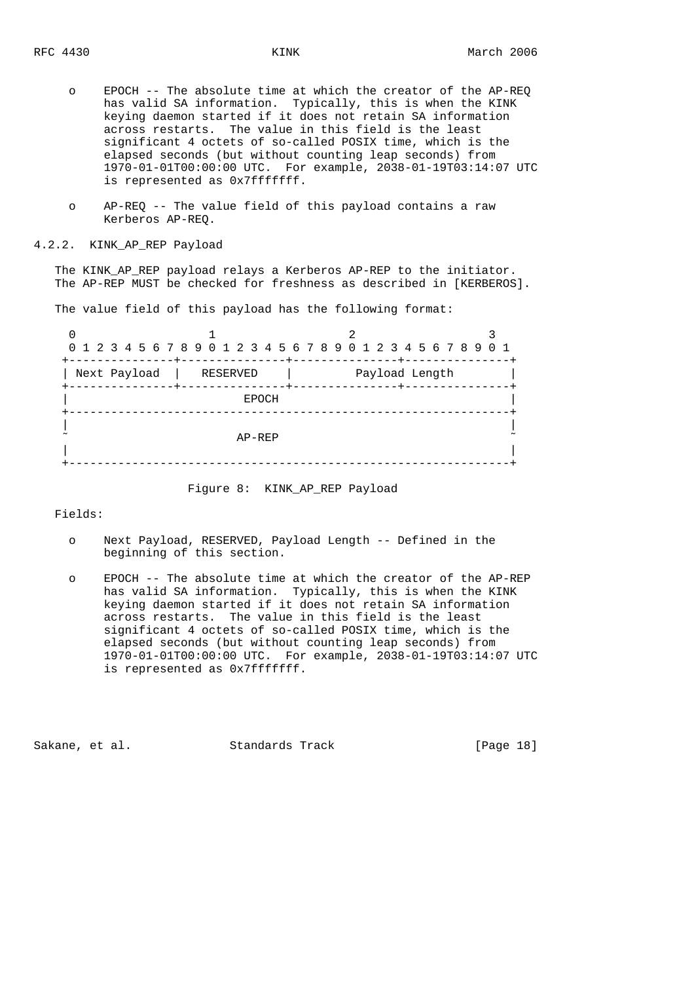- o EPOCH -- The absolute time at which the creator of the AP-REQ has valid SA information. Typically, this is when the KINK keying daemon started if it does not retain SA information across restarts. The value in this field is the least significant 4 octets of so-called POSIX time, which is the elapsed seconds (but without counting leap seconds) from 1970-01-01T00:00:00 UTC. For example, 2038-01-19T03:14:07 UTC is represented as 0x7fffffff.
- o AP-REQ -- The value field of this payload contains a raw Kerberos AP-REQ.

#### 4.2.2. KINK\_AP\_REP Payload

The KINK AP REP payload relays a Kerberos AP-REP to the initiator. The AP-REP MUST be checked for freshness as described in [KERBEROS].

The value field of this payload has the following format:

|                                     |              | 0 1 2 3 4 5 6 7 8 9 0 1 2 3 4 5 6 7 8 9 0 1 2 3 4 5 6 7 8 9 0 1 |  |
|-------------------------------------|--------------|-----------------------------------------------------------------|--|
| Next Payload  <br>------------+---- | RESERVED     | Payload Length                                                  |  |
|                                     | <b>EPOCH</b> |                                                                 |  |
|                                     | AP-REP       |                                                                 |  |
|                                     |              |                                                                 |  |

Figure 8: KINK\_AP\_REP Payload

Fields:

- o Next Payload, RESERVED, Payload Length -- Defined in the beginning of this section.
- o EPOCH -- The absolute time at which the creator of the AP-REP has valid SA information. Typically, this is when the KINK keying daemon started if it does not retain SA information across restarts. The value in this field is the least significant 4 octets of so-called POSIX time, which is the elapsed seconds (but without counting leap seconds) from 1970-01-01T00:00:00 UTC. For example, 2038-01-19T03:14:07 UTC is represented as 0x7fffffff.

Sakane, et al. Standards Track [Page 18]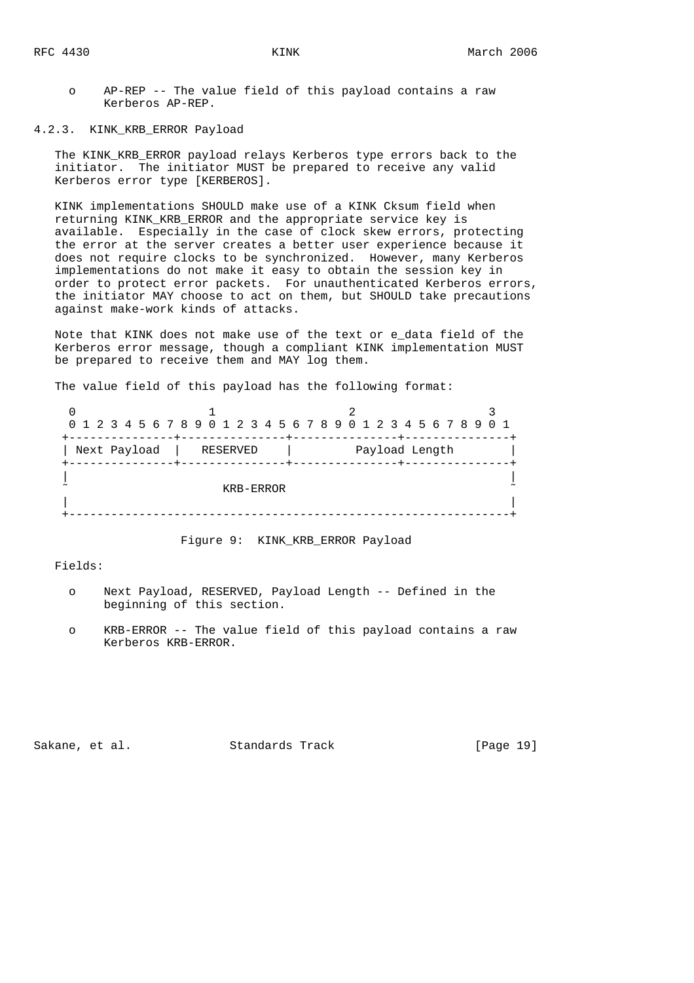o AP-REP -- The value field of this payload contains a raw Kerberos AP-REP.

4.2.3. KINK\_KRB\_ERROR Payload

 The KINK\_KRB\_ERROR payload relays Kerberos type errors back to the initiator. The initiator MUST be prepared to receive any valid Kerberos error type [KERBEROS].

 KINK implementations SHOULD make use of a KINK Cksum field when returning KINK\_KRB\_ERROR and the appropriate service key is available. Especially in the case of clock skew errors, protecting the error at the server creates a better user experience because it does not require clocks to be synchronized. However, many Kerberos implementations do not make it easy to obtain the session key in order to protect error packets. For unauthenticated Kerberos errors, the initiator MAY choose to act on them, but SHOULD take precautions against make-work kinds of attacks.

 Note that KINK does not make use of the text or e\_data field of the Kerberos error message, though a compliant KINK implementation MUST be prepared to receive them and MAY log them.

The value field of this payload has the following format:

|              |           | 0 1 2 3 4 5 6 7 8 9 0 1 2 3 4 5 6 7 8 9 0 1 2 3 4 5 6 7 8 9 0 1 |  |
|--------------|-----------|-----------------------------------------------------------------|--|
|              |           |                                                                 |  |
| Next Payload | RESERVED  | Payload Length                                                  |  |
|              |           |                                                                 |  |
|              |           |                                                                 |  |
|              | KRB-ERROR |                                                                 |  |
|              |           |                                                                 |  |
|              |           |                                                                 |  |

Figure 9: KINK\_KRB\_ERROR Payload

Fields:

- o Next Payload, RESERVED, Payload Length -- Defined in the beginning of this section.
- o KRB-ERROR -- The value field of this payload contains a raw Kerberos KRB-ERROR.

Sakane, et al. Standards Track [Page 19]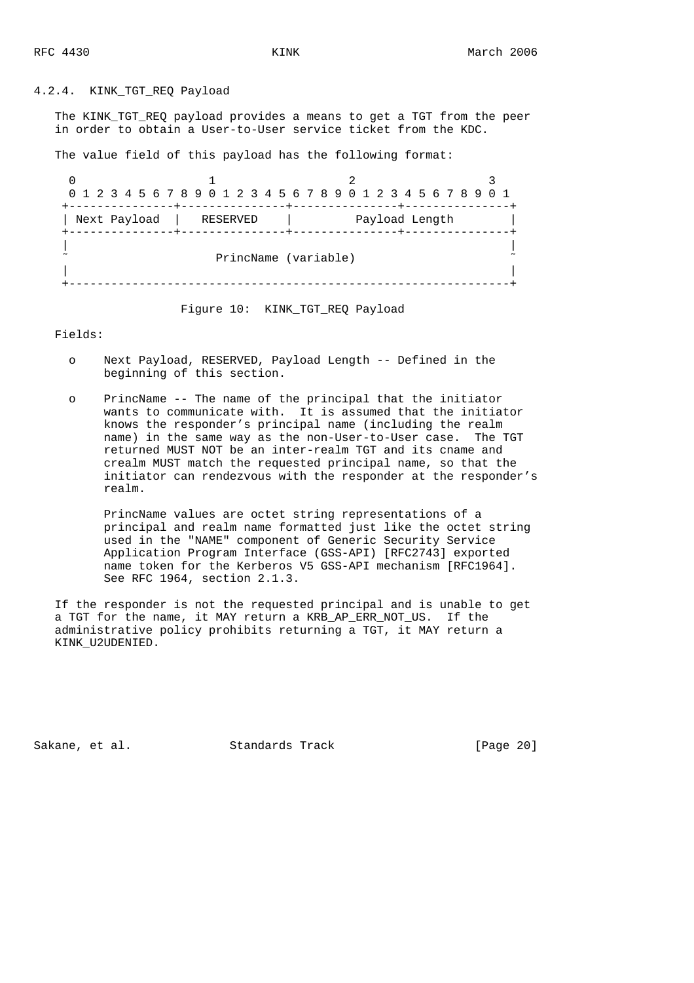4.2.4. KINK\_TGT\_REQ Payload

The KINK TGT REQ payload provides a means to get a TGT from the peer in order to obtain a User-to-User service ticket from the KDC.

The value field of this payload has the following format:

|                         |                      | 0 1 2 3 4 5 6 7 8 9 0 1 2 3 4 5 6 7 8 9 0 1 2 3 4 5 6 7 8 9 0 1 |  |
|-------------------------|----------------------|-----------------------------------------------------------------|--|
|                         | ------+------        |                                                                 |  |
| Next Payload   RESERVED |                      | Payload Length                                                  |  |
|                         |                      |                                                                 |  |
|                         |                      |                                                                 |  |
|                         | PrincName (variable) |                                                                 |  |
|                         |                      |                                                                 |  |
|                         |                      |                                                                 |  |
|                         |                      |                                                                 |  |

Figure 10: KINK TGT REQ Payload

Fields:

- o Next Payload, RESERVED, Payload Length -- Defined in the beginning of this section.
- o PrincName -- The name of the principal that the initiator wants to communicate with. It is assumed that the initiator knows the responder's principal name (including the realm name) in the same way as the non-User-to-User case. The TGT returned MUST NOT be an inter-realm TGT and its cname and crealm MUST match the requested principal name, so that the initiator can rendezvous with the responder at the responder's realm.

 PrincName values are octet string representations of a principal and realm name formatted just like the octet string used in the "NAME" component of Generic Security Service Application Program Interface (GSS-API) [RFC2743] exported name token for the Kerberos V5 GSS-API mechanism [RFC1964]. See RFC 1964, section 2.1.3.

 If the responder is not the requested principal and is unable to get a TGT for the name, it MAY return a KRB\_AP\_ERR\_NOT\_US. If the administrative policy prohibits returning a TGT, it MAY return a KINK\_U2UDENIED.

Sakane, et al. Standards Track [Page 20]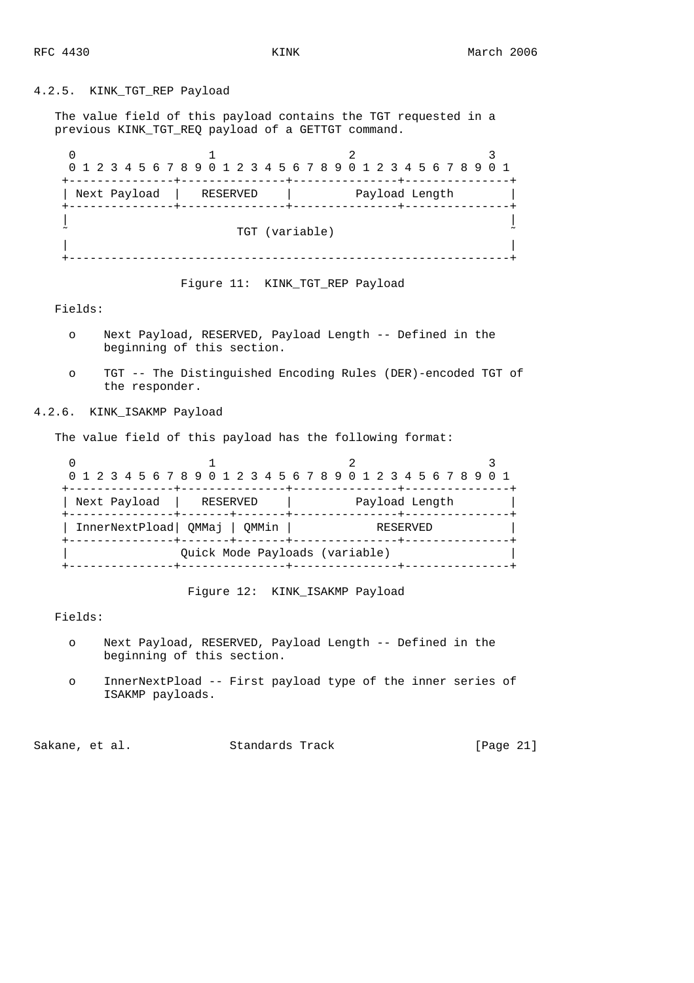# 4.2.5. KINK\_TGT\_REP Payload

 The value field of this payload contains the TGT requested in a previous KINK\_TGT\_REQ payload of a GETTGT command.

|              |                | 0 1 2 3 4 5 6 7 8 9 0 1 2 3 4 5 6 7 8 9 0 1 2 3 4 5 6 7 8 9 0 1 |  |
|--------------|----------------|-----------------------------------------------------------------|--|
| Next Payload | RESERVED       | ---+---<br>Payload Length                                       |  |
|              | TGT (variable) |                                                                 |  |
|              |                |                                                                 |  |

Figure 11: KINK\_TGT\_REP Payload

Fields:

- o Next Payload, RESERVED, Payload Length -- Defined in the beginning of this section.
- o TGT -- The Distinguished Encoding Rules (DER)-encoded TGT of the responder.

# 4.2.6. KINK\_ISAKMP Payload

The value field of this payload has the following format:

|                         |                                                            | 0 1 2 3 4 5 6 7 8 9 0 1 2 3 4 5 6 7 8 9 0 1 2 3 4 5 6 7 8 9 0 1 |  |
|-------------------------|------------------------------------------------------------|-----------------------------------------------------------------|--|
| Next Payload   RESERVED |                                                            | Payload Length                                                  |  |
|                         | InnerNextPload   QMMaj   QMMin<br>-----+-------+------+--- | RESERVED                                                        |  |
|                         | Ouick Mode Payloads (variable)                             |                                                                 |  |

Figure 12: KINK\_ISAKMP Payload

Fields:

- o Next Payload, RESERVED, Payload Length -- Defined in the beginning of this section.
- o InnerNextPload -- First payload type of the inner series of ISAKMP payloads.

Sakane, et al. Standards Track [Page 21]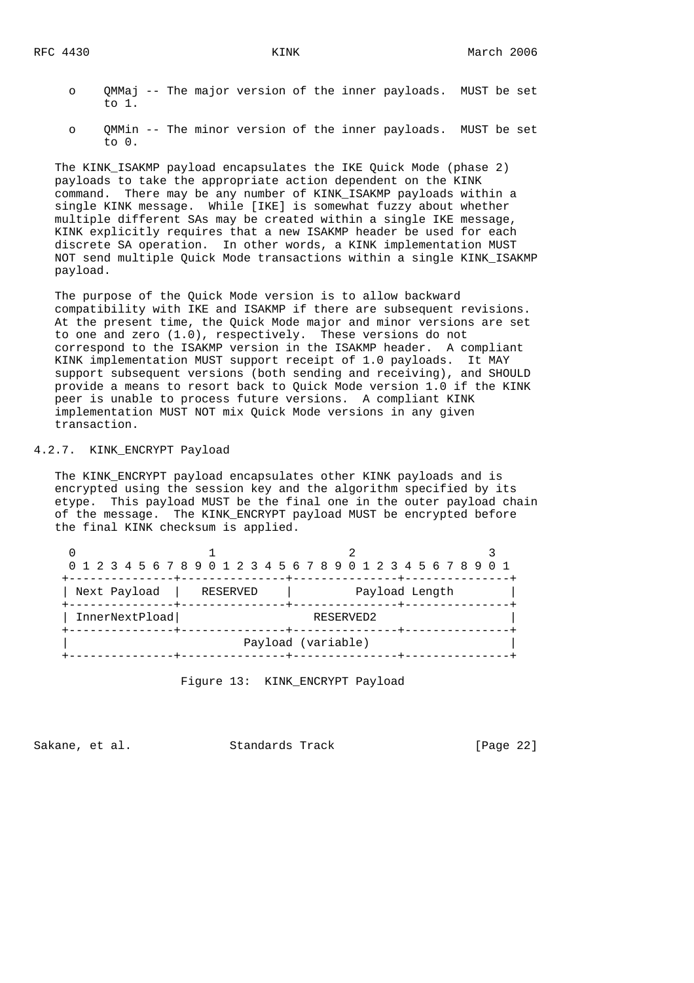- o QMMaj -- The major version of the inner payloads. MUST be set to 1.
- o QMMin -- The minor version of the inner payloads. MUST be set to 0.

 The KINK\_ISAKMP payload encapsulates the IKE Quick Mode (phase 2) payloads to take the appropriate action dependent on the KINK command. There may be any number of KINK\_ISAKMP payloads within a single KINK message. While [IKE] is somewhat fuzzy about whether multiple different SAs may be created within a single IKE message, KINK explicitly requires that a new ISAKMP header be used for each discrete SA operation. In other words, a KINK implementation MUST NOT send multiple Quick Mode transactions within a single KINK\_ISAKMP payload.

 The purpose of the Quick Mode version is to allow backward compatibility with IKE and ISAKMP if there are subsequent revisions. At the present time, the Quick Mode major and minor versions are set to one and zero (1.0), respectively. These versions do not correspond to the ISAKMP version in the ISAKMP header. A compliant KINK implementation MUST support receipt of 1.0 payloads. It MAY support subsequent versions (both sending and receiving), and SHOULD provide a means to resort back to Quick Mode version 1.0 if the KINK peer is unable to process future versions. A compliant KINK implementation MUST NOT mix Quick Mode versions in any given transaction.

# 4.2.7. KINK\_ENCRYPT Payload

 The KINK\_ENCRYPT payload encapsulates other KINK payloads and is encrypted using the session key and the algorithm specified by its etype. This payload MUST be the final one in the outer payload chain of the message. The KINK\_ENCRYPT payload MUST be encrypted before the final KINK checksum is applied.

|                |           | 0 1 2 3 4 5 6 7 8 9 0 1 2 3 4 5 6 7 8 9 0 1 2 3 4 5 6 7 8 9 0 1 |  |  |  |  |  |
|----------------|-----------|-----------------------------------------------------------------|--|--|--|--|--|
| Next Payload   | RESERVED  | -----+------<br>Payload Length                                  |  |  |  |  |  |
| InnerNextPload | RESERVED2 |                                                                 |  |  |  |  |  |
|                |           | Payload (variable)                                              |  |  |  |  |  |
|                |           |                                                                 |  |  |  |  |  |

Figure 13: KINK\_ENCRYPT Payload

Sakane, et al. Standards Track [Page 22]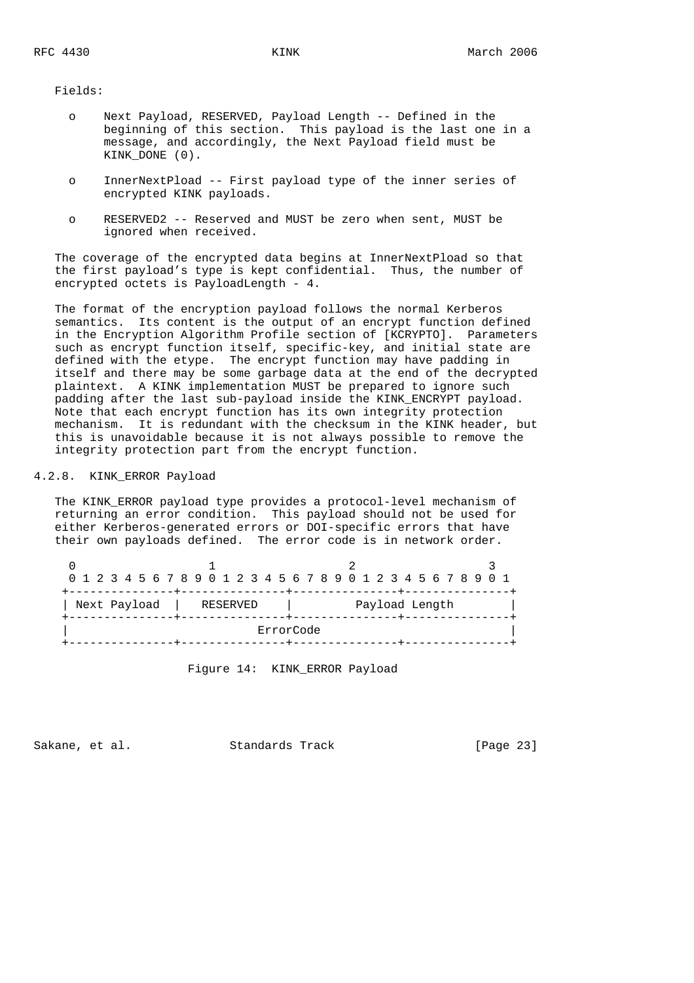Fields:

- o Next Payload, RESERVED, Payload Length -- Defined in the beginning of this section. This payload is the last one in a message, and accordingly, the Next Payload field must be KINK DONE (0).
- o InnerNextPload -- First payload type of the inner series of encrypted KINK payloads.
- o RESERVED2 -- Reserved and MUST be zero when sent, MUST be ignored when received.

 The coverage of the encrypted data begins at InnerNextPload so that the first payload's type is kept confidential. Thus, the number of encrypted octets is PayloadLength - 4.

 The format of the encryption payload follows the normal Kerberos semantics. Its content is the output of an encrypt function defined in the Encryption Algorithm Profile section of [KCRYPTO]. Parameters such as encrypt function itself, specific-key, and initial state are defined with the etype. The encrypt function may have padding in itself and there may be some garbage data at the end of the decrypted plaintext. A KINK implementation MUST be prepared to ignore such padding after the last sub-payload inside the KINK\_ENCRYPT payload. Note that each encrypt function has its own integrity protection mechanism. It is redundant with the checksum in the KINK header, but this is unavoidable because it is not always possible to remove the integrity protection part from the encrypt function.

# 4.2.8. KINK\_ERROR Payload

 The KINK\_ERROR payload type provides a protocol-level mechanism of returning an error condition. This payload should not be used for either Kerberos-generated errors or DOI-specific errors that have their own payloads defined. The error code is in network order.

| 0 1 2 3 4 5 6 7 8 9 0 1 2 3 4 5 6 7 8 9 0 1 2 3 4 5 6 7 8 9 0 1<br>Next Payload<br>Payload Length<br>RESERVED<br>ErrorCode |  |  |  |  |  |  |  |  |  |  |  |  |  |  |  |  |  |
|----------------------------------------------------------------------------------------------------------------------------|--|--|--|--|--|--|--|--|--|--|--|--|--|--|--|--|--|
|                                                                                                                            |  |  |  |  |  |  |  |  |  |  |  |  |  |  |  |  |  |
|                                                                                                                            |  |  |  |  |  |  |  |  |  |  |  |  |  |  |  |  |  |
|                                                                                                                            |  |  |  |  |  |  |  |  |  |  |  |  |  |  |  |  |  |

Figure 14: KINK\_ERROR Payload

Sakane, et al. Standards Track [Page 23]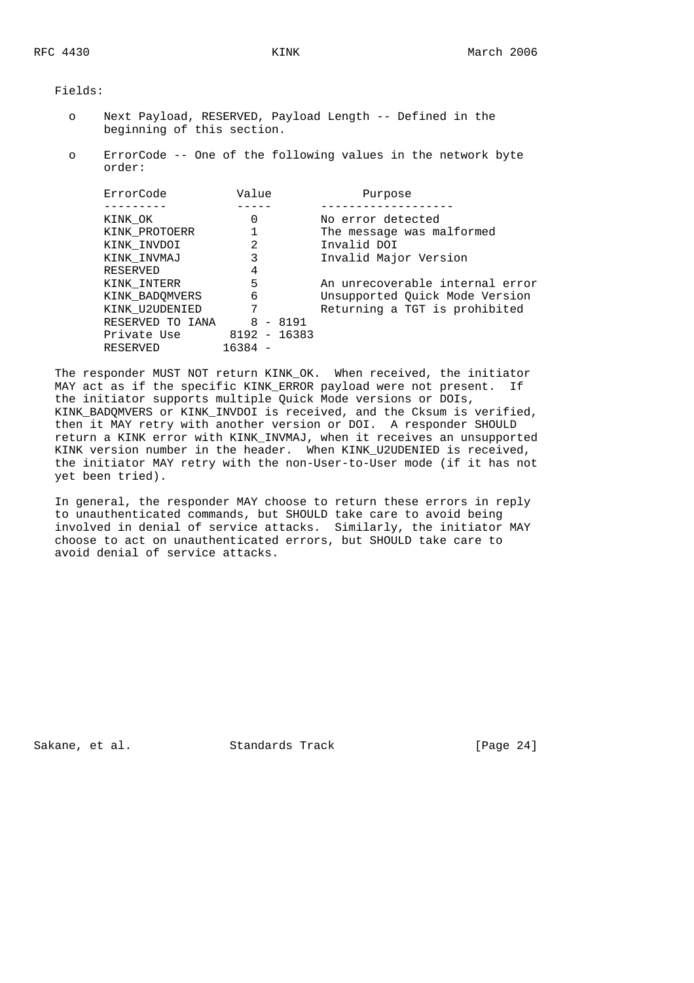Fields:

- o Next Payload, RESERVED, Payload Length -- Defined in the beginning of this section.
- o ErrorCode -- One of the following values in the network byte order:

| ErrorCode        | Value        |            | Purpose                         |
|------------------|--------------|------------|---------------------------------|
| KINK OK          | 0            |            | No error detected               |
|                  |              |            |                                 |
| KINK PROTOERR    |              |            | The message was malformed       |
| KINK INVDOI      | 2            |            | Invalid DOI                     |
| KINK INVMAJ      |              |            | Invalid Major Version           |
| RESERVED         | 4            |            |                                 |
| KINK INTERR      | 5            |            | An unrecoverable internal error |
| KINK BADOMVERS   | 6            |            | Unsupported Quick Mode Version  |
| KINK U2UDENIED   | 7            |            | Returning a TGT is prohibited   |
| RESERVED TO IANA |              | $8 - 8191$ |                                 |
| Private Use      | 8192 - 16383 |            |                                 |
| RESERVED         | 16384        |            |                                 |

 The responder MUST NOT return KINK\_OK. When received, the initiator MAY act as if the specific KINK ERROR payload were not present. If the initiator supports multiple Quick Mode versions or DOIs, KINK\_BADQMVERS or KINK\_INVDOI is received, and the Cksum is verified, then it MAY retry with another version or DOI. A responder SHOULD return a KINK error with KINK\_INVMAJ, when it receives an unsupported KINK version number in the header. When KINK\_U2UDENIED is received, the initiator MAY retry with the non-User-to-User mode (if it has not yet been tried).

 In general, the responder MAY choose to return these errors in reply to unauthenticated commands, but SHOULD take care to avoid being involved in denial of service attacks. Similarly, the initiator MAY choose to act on unauthenticated errors, but SHOULD take care to avoid denial of service attacks.

Sakane, et al. Standards Track [Page 24]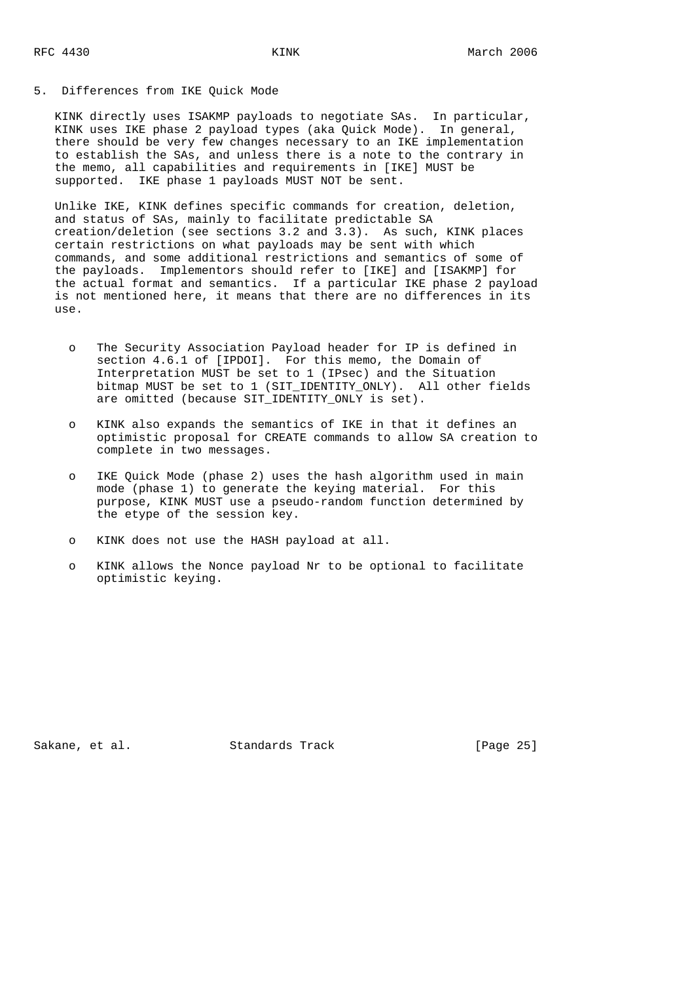#### 5. Differences from IKE Quick Mode

 KINK directly uses ISAKMP payloads to negotiate SAs. In particular, KINK uses IKE phase 2 payload types (aka Quick Mode). In general, there should be very few changes necessary to an IKE implementation to establish the SAs, and unless there is a note to the contrary in the memo, all capabilities and requirements in [IKE] MUST be supported. IKE phase 1 payloads MUST NOT be sent.

 Unlike IKE, KINK defines specific commands for creation, deletion, and status of SAs, mainly to facilitate predictable SA creation/deletion (see sections 3.2 and 3.3). As such, KINK places certain restrictions on what payloads may be sent with which commands, and some additional restrictions and semantics of some of the payloads. Implementors should refer to [IKE] and [ISAKMP] for the actual format and semantics. If a particular IKE phase 2 payload is not mentioned here, it means that there are no differences in its use.

- o The Security Association Payload header for IP is defined in section 4.6.1 of [IPDOI]. For this memo, the Domain of Interpretation MUST be set to 1 (IPsec) and the Situation bitmap MUST be set to 1 (SIT IDENTITY ONLY). All other fields are omitted (because SIT\_IDENTITY\_ONLY is set).
- o KINK also expands the semantics of IKE in that it defines an optimistic proposal for CREATE commands to allow SA creation to complete in two messages.
- o IKE Quick Mode (phase 2) uses the hash algorithm used in main mode (phase 1) to generate the keying material. For this purpose, KINK MUST use a pseudo-random function determined by the etype of the session key.
- o KINK does not use the HASH payload at all.
- o KINK allows the Nonce payload Nr to be optional to facilitate optimistic keying.

Sakane, et al. Standards Track [Page 25]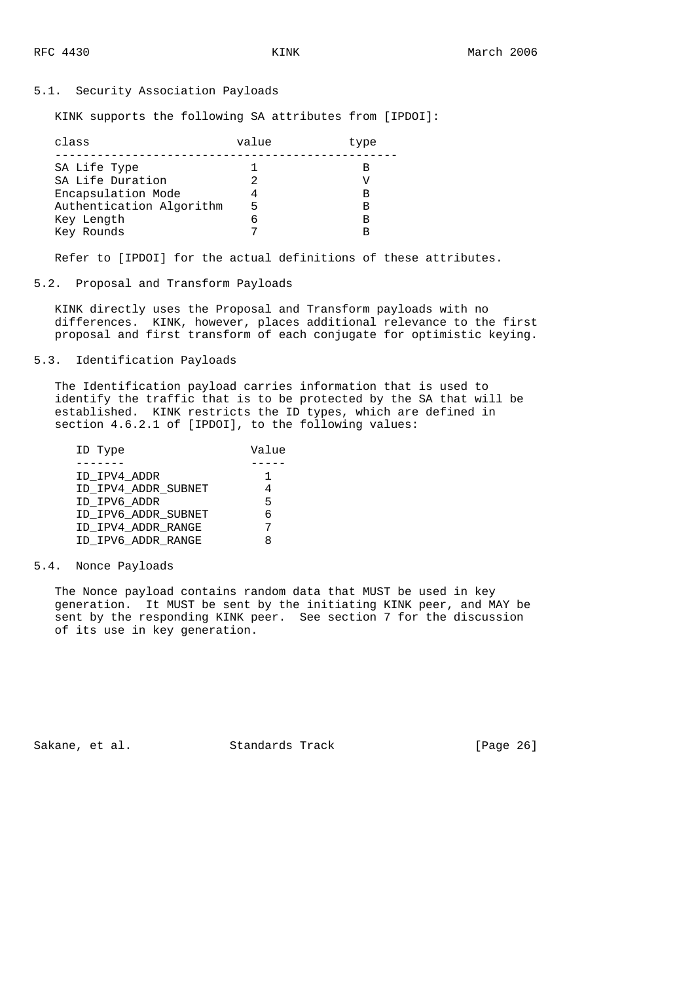## 5.1. Security Association Payloads

KINK supports the following SA attributes from [IPDOI]:

| class                    | value | type |
|--------------------------|-------|------|
| SA Life Type             |       |      |
| SA Life Duration         |       |      |
| Encapsulation Mode       |       | в    |
| Authentication Algorithm |       | в    |
| Key Length               |       | в    |
| Key Rounds               |       | R    |

Refer to [IPDOI] for the actual definitions of these attributes.

## 5.2. Proposal and Transform Payloads

 KINK directly uses the Proposal and Transform payloads with no differences. KINK, however, places additional relevance to the first proposal and first transform of each conjugate for optimistic keying.

5.3. Identification Payloads

 The Identification payload carries information that is used to identify the traffic that is to be protected by the SA that will be established. KINK restricts the ID types, which are defined in section 4.6.2.1 of [IPDOI], to the following values:

| ID Type             | Value |
|---------------------|-------|
|                     |       |
| ID IPV4 ADDR        |       |
| ID IPV4 ADDR SUBNET |       |
| ID IPV6 ADDR        | 5     |
| ID IPV6 ADDR SUBNET | 6     |
| ID IPV4 ADDR RANGE  |       |
| ID IPV6 ADDR RANGE  |       |

#### 5.4. Nonce Payloads

 The Nonce payload contains random data that MUST be used in key generation. It MUST be sent by the initiating KINK peer, and MAY be sent by the responding KINK peer. See section 7 for the discussion of its use in key generation.

Sakane, et al. Standards Track [Page 26]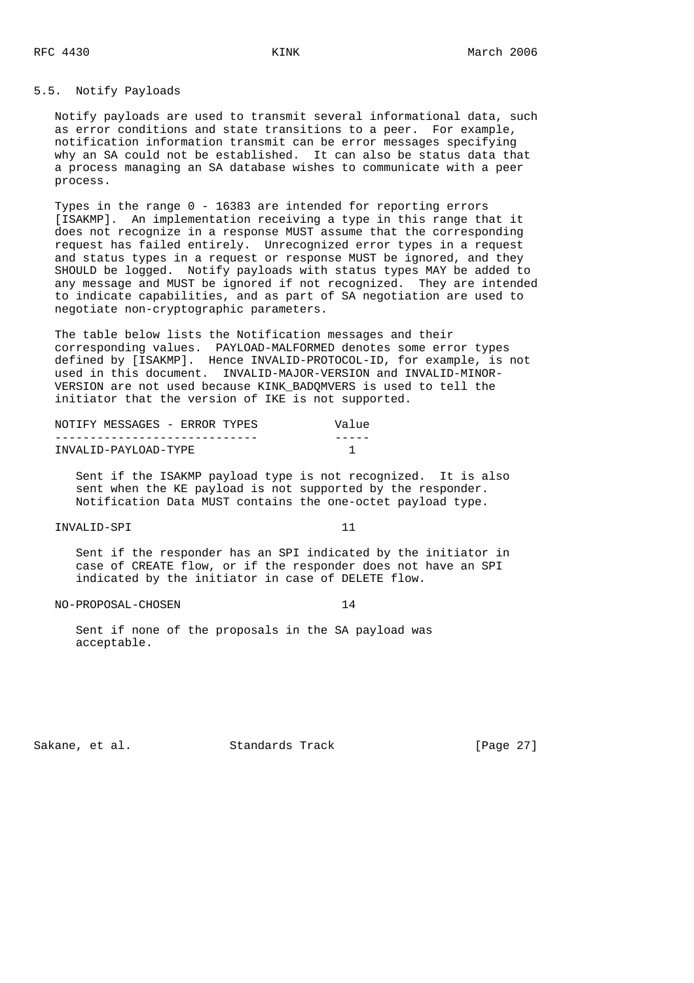## 5.5. Notify Payloads

 Notify payloads are used to transmit several informational data, such as error conditions and state transitions to a peer. For example, notification information transmit can be error messages specifying why an SA could not be established. It can also be status data that a process managing an SA database wishes to communicate with a peer process.

 Types in the range 0 - 16383 are intended for reporting errors [ISAKMP]. An implementation receiving a type in this range that it does not recognize in a response MUST assume that the corresponding request has failed entirely. Unrecognized error types in a request and status types in a request or response MUST be ignored, and they SHOULD be logged. Notify payloads with status types MAY be added to any message and MUST be ignored if not recognized. They are intended to indicate capabilities, and as part of SA negotiation are used to negotiate non-cryptographic parameters.

 The table below lists the Notification messages and their corresponding values. PAYLOAD-MALFORMED denotes some error types defined by [ISAKMP]. Hence INVALID-PROTOCOL-ID, for example, is not used in this document. INVALID-MAJOR-VERSION and INVALID-MINOR- VERSION are not used because KINK\_BADQMVERS is used to tell the initiator that the version of IKE is not supported.

|  | NOTIFY MESSAGES - ERROR TYPES |  |  | Value |
|--|-------------------------------|--|--|-------|
|  |                               |  |  |       |
|  | INVALID-PAYLOAD-TYPE          |  |  |       |

 Sent if the ISAKMP payload type is not recognized. It is also sent when the KE payload is not supported by the responder. Notification Data MUST contains the one-octet payload type.

#### INVALID-SPI 11

 Sent if the responder has an SPI indicated by the initiator in case of CREATE flow, or if the responder does not have an SPI indicated by the initiator in case of DELETE flow.

NO-PROPOSAL-CHOSEN 14

 Sent if none of the proposals in the SA payload was acceptable.

Sakane, et al. Standards Track [Page 27]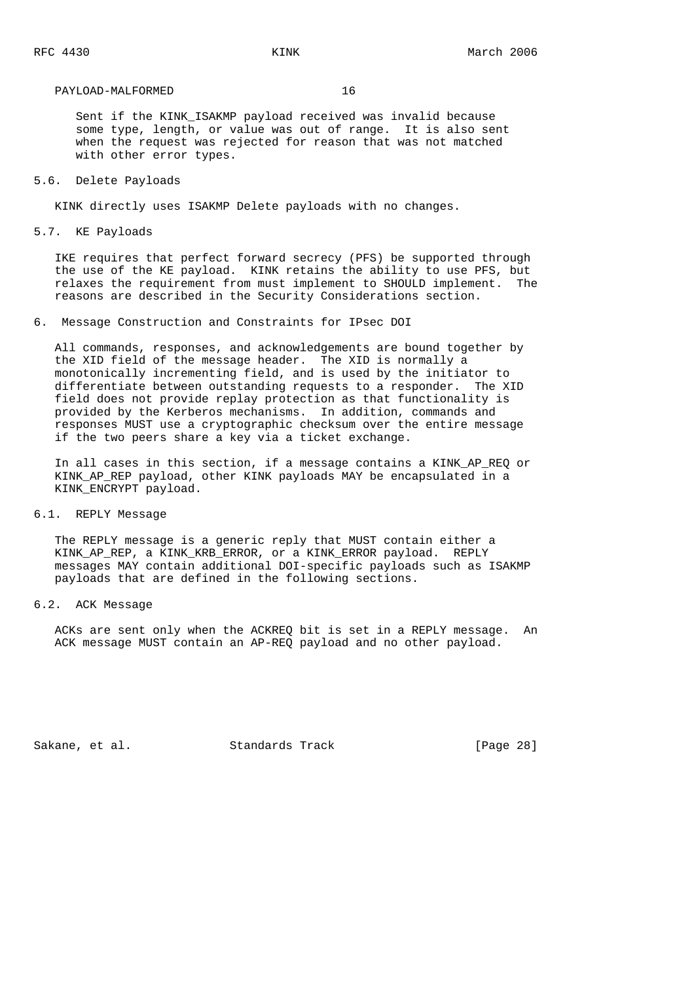#### PAYLOAD-MALFORMED 16

Sent if the KINK ISAKMP payload received was invalid because some type, length, or value was out of range. It is also sent when the request was rejected for reason that was not matched with other error types.

5.6. Delete Payloads

KINK directly uses ISAKMP Delete payloads with no changes.

5.7. KE Payloads

 IKE requires that perfect forward secrecy (PFS) be supported through the use of the KE payload. KINK retains the ability to use PFS, but relaxes the requirement from must implement to SHOULD implement. The reasons are described in the Security Considerations section.

6. Message Construction and Constraints for IPsec DOI

 All commands, responses, and acknowledgements are bound together by the XID field of the message header. The XID is normally a monotonically incrementing field, and is used by the initiator to differentiate between outstanding requests to a responder. The XID field does not provide replay protection as that functionality is provided by the Kerberos mechanisms. In addition, commands and responses MUST use a cryptographic checksum over the entire message if the two peers share a key via a ticket exchange.

 In all cases in this section, if a message contains a KINK\_AP\_REQ or KINK\_AP\_REP payload, other KINK payloads MAY be encapsulated in a KINK\_ENCRYPT payload.

6.1. REPLY Message

 The REPLY message is a generic reply that MUST contain either a KINK\_AP\_REP, a KINK\_KRB\_ERROR, or a KINK\_ERROR payload. REPLY messages MAY contain additional DOI-specific payloads such as ISAKMP payloads that are defined in the following sections.

#### 6.2. ACK Message

 ACKs are sent only when the ACKREQ bit is set in a REPLY message. An ACK message MUST contain an AP-REQ payload and no other payload.

Sakane, et al. Standards Track [Page 28]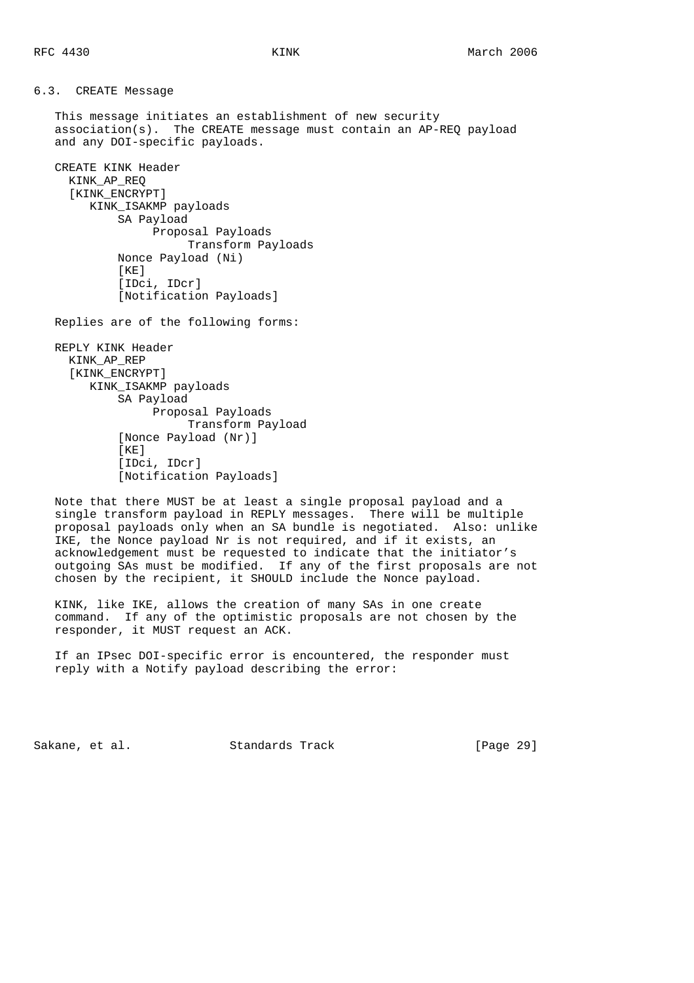6.3. CREATE Message

 This message initiates an establishment of new security association(s). The CREATE message must contain an AP-REQ payload and any DOI-specific payloads.

```
 CREATE KINK Header
KINK_AP_REQ
[KINK_ENCRYPT]
   KINK_ISAKMP payloads
       SA Payload
             Proposal Payloads
                  Transform Payloads
       Nonce Payload (Ni)
       [KE]
        [IDci, IDcr]
        [Notification Payloads]
```
Replies are of the following forms:

 REPLY KINK Header KINK\_AP\_REP [KINK\_ENCRYPT] KINK\_ISAKMP payloads SA Payload Proposal Payloads Transform Payload [Nonce Payload (Nr)] [KE] [IDci, IDcr] [Notification Payloads]

 Note that there MUST be at least a single proposal payload and a single transform payload in REPLY messages. There will be multiple proposal payloads only when an SA bundle is negotiated. Also: unlike IKE, the Nonce payload Nr is not required, and if it exists, an acknowledgement must be requested to indicate that the initiator's outgoing SAs must be modified. If any of the first proposals are not chosen by the recipient, it SHOULD include the Nonce payload.

 KINK, like IKE, allows the creation of many SAs in one create command. If any of the optimistic proposals are not chosen by the responder, it MUST request an ACK.

 If an IPsec DOI-specific error is encountered, the responder must reply with a Notify payload describing the error:

Sakane, et al. Standards Track [Page 29]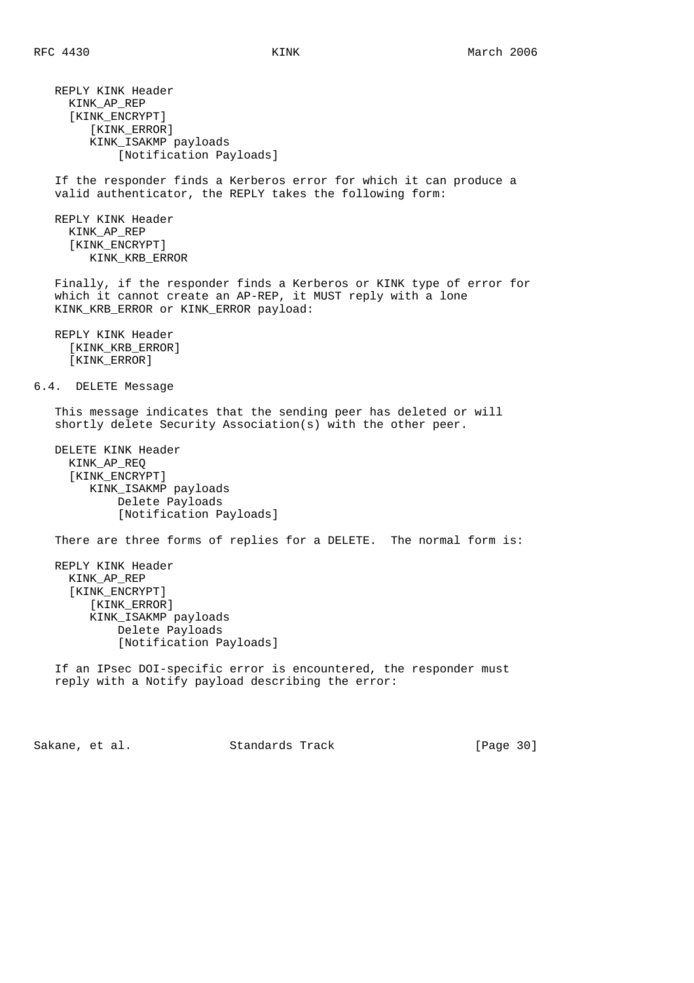REPLY KINK Header KINK\_AP\_REP [KINK\_ENCRYPT] [KINK\_ERROR] KINK\_ISAKMP payloads [Notification Payloads] If the responder finds a Kerberos error for which it can produce a valid authenticator, the REPLY takes the following form: REPLY KINK Header KINK\_AP\_REP [KINK\_ENCRYPT] KINK\_KRB\_ERROR Finally, if the responder finds a Kerberos or KINK type of error for which it cannot create an AP-REP, it MUST reply with a lone KINK\_KRB\_ERROR or KINK\_ERROR payload: REPLY KINK Header [KINK\_KRB\_ERROR] [KINK\_ERROR] 6.4. DELETE Message This message indicates that the sending peer has deleted or will shortly delete Security Association(s) with the other peer. DELETE KINK Header KINK\_AP\_REQ [KINK\_ENCRYPT] KINK\_ISAKMP payloads Delete Payloads [Notification Payloads] There are three forms of replies for a DELETE. The normal form is: REPLY KINK Header KINK\_AP\_REP [KINK\_ENCRYPT] [KINK\_ERROR] KINK\_ISAKMP payloads Delete Payloads [Notification Payloads] If an IPsec DOI-specific error is encountered, the responder must reply with a Notify payload describing the error: Sakane, et al. Standards Track [Page 30]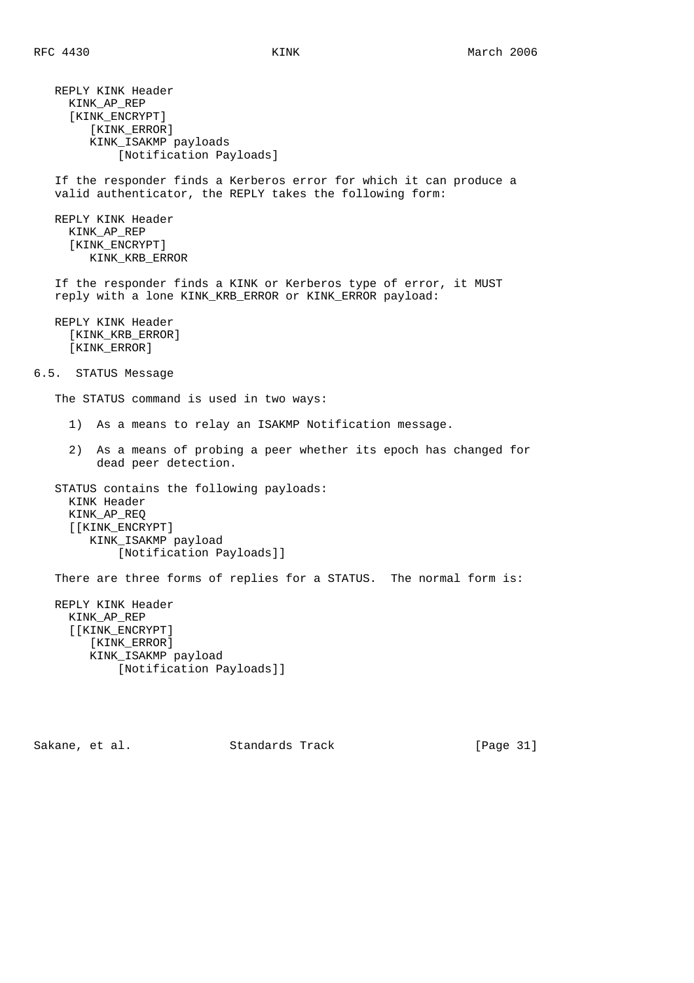REPLY KINK Header KINK\_AP\_REP [KINK\_ENCRYPT] [KINK\_ERROR] KINK\_ISAKMP payloads [Notification Payloads] If the responder finds a Kerberos error for which it can produce a valid authenticator, the REPLY takes the following form: REPLY KINK Header KINK\_AP\_REP [KINK\_ENCRYPT] KINK\_KRB\_ERROR If the responder finds a KINK or Kerberos type of error, it MUST reply with a lone KINK\_KRB\_ERROR or KINK\_ERROR payload: REPLY KINK Header [KINK\_KRB\_ERROR] [KINK\_ERROR] 6.5. STATUS Message The STATUS command is used in two ways: 1) As a means to relay an ISAKMP Notification message. 2) As a means of probing a peer whether its epoch has changed for dead peer detection. STATUS contains the following payloads: KINK Header KINK\_AP\_REQ [[KINK\_ENCRYPT] KINK\_ISAKMP payload [Notification Payloads]] There are three forms of replies for a STATUS. The normal form is: REPLY KINK Header KINK\_AP\_REP [[KINK\_ENCRYPT] [KINK\_ERROR] KINK\_ISAKMP payload [Notification Payloads]]

Sakane, et al. Standards Track [Page 31]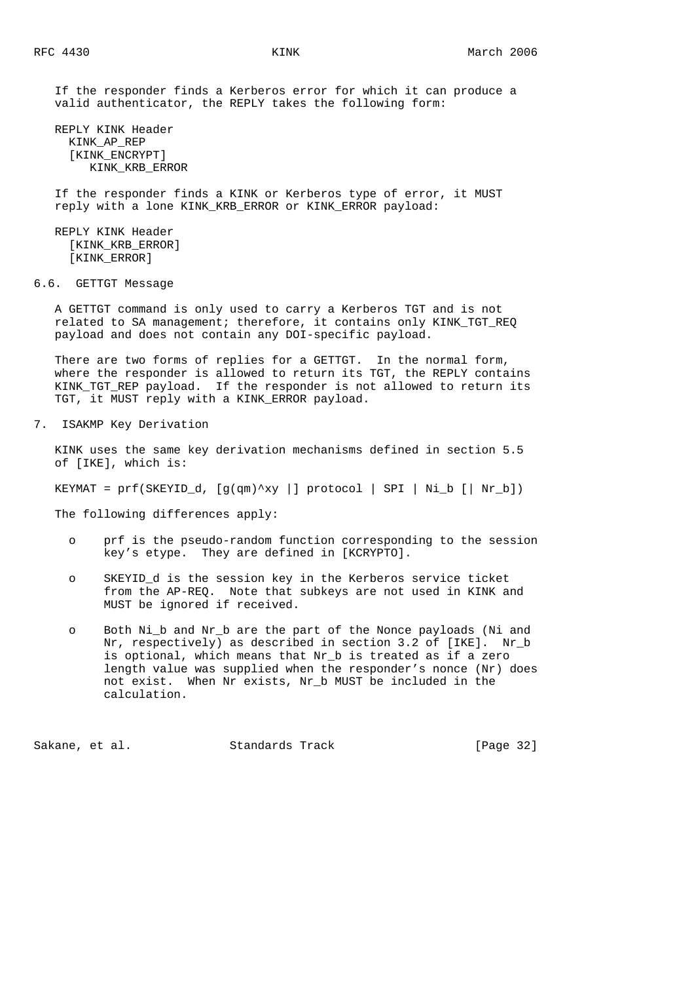If the responder finds a Kerberos error for which it can produce a valid authenticator, the REPLY takes the following form:

 REPLY KINK Header KINK\_AP\_REP [KINK\_ENCRYPT] KINK\_KRB\_ERROR

 If the responder finds a KINK or Kerberos type of error, it MUST reply with a lone KINK\_KRB\_ERROR or KINK\_ERROR payload:

 REPLY KINK Header [KINK\_KRB\_ERROR] [KINK\_ERROR]

6.6. GETTGT Message

 A GETTGT command is only used to carry a Kerberos TGT and is not related to SA management; therefore, it contains only KINK\_TGT\_REQ payload and does not contain any DOI-specific payload.

 There are two forms of replies for a GETTGT. In the normal form, where the responder is allowed to return its TGT, the REPLY contains KINK\_TGT\_REP payload. If the responder is not allowed to return its TGT, it MUST reply with a KINK\_ERROR payload.

7. ISAKMP Key Derivation

 KINK uses the same key derivation mechanisms defined in section 5.5 of [IKE], which is:

KEYMAT = prf(SKEYID\_d, [g(qm)^xy |] protocol | SPI | Ni\_b [| Nr\_b])

The following differences apply:

- o prf is the pseudo-random function corresponding to the session key's etype. They are defined in [KCRYPTO].
- o SKEYID\_d is the session key in the Kerberos service ticket from the AP-REQ. Note that subkeys are not used in KINK and MUST be ignored if received.
- o Both Ni\_b and Nr\_b are the part of the Nonce payloads (Ni and Nr, respectively) as described in section 3.2 of [IKE]. Nr\_b is optional, which means that Nr\_b is treated as if a zero length value was supplied when the responder's nonce (Nr) does not exist. When Nr exists, Nr\_b MUST be included in the calculation.

Sakane, et al. Standards Track [Page 32]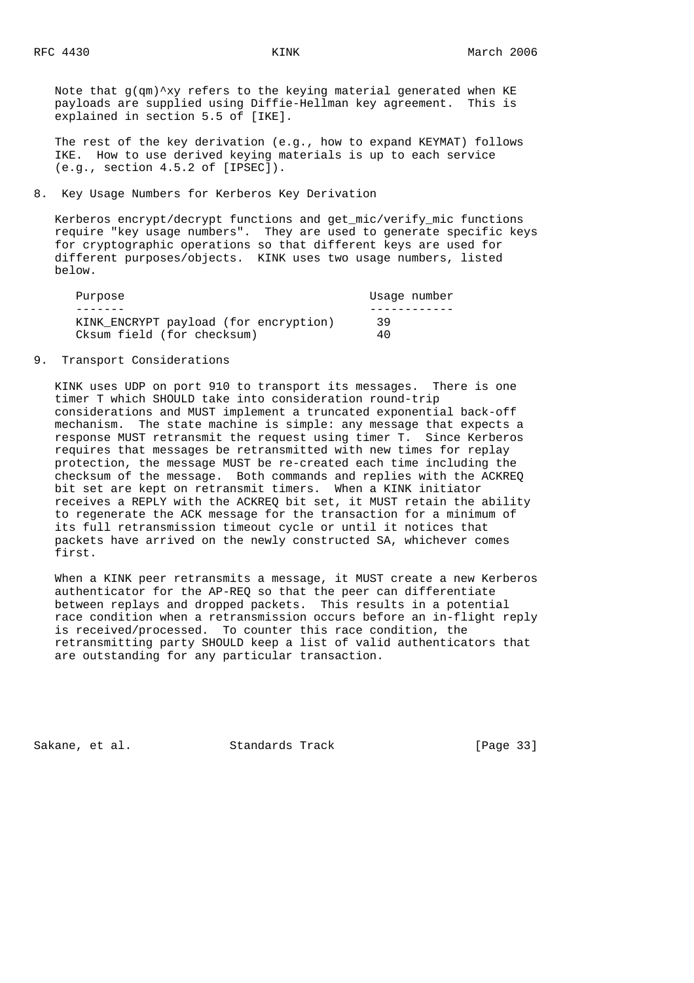Note that  $g(qm)$ <sup>\*</sup>xy refers to the keying material generated when KE payloads are supplied using Diffie-Hellman key agreement. This is explained in section 5.5 of [IKE].

 The rest of the key derivation (e.g., how to expand KEYMAT) follows IKE. How to use derived keying materials is up to each service (e.g., section 4.5.2 of [IPSEC]).

# 8. Key Usage Numbers for Kerberos Key Derivation

 Kerberos encrypt/decrypt functions and get\_mic/verify\_mic functions require "key usage numbers". They are used to generate specific keys for cryptographic operations so that different keys are used for different purposes/objects. KINK uses two usage numbers, listed below.

| Purpose                               | Usaqe number |
|---------------------------------------|--------------|
|                                       |              |
| KINK ENCRYPT payload (for encryption) | 39           |
| Cksum field (for checksum)            | 40           |

9. Transport Considerations

 KINK uses UDP on port 910 to transport its messages. There is one timer T which SHOULD take into consideration round-trip considerations and MUST implement a truncated exponential back-off mechanism. The state machine is simple: any message that expects a response MUST retransmit the request using timer T. Since Kerberos requires that messages be retransmitted with new times for replay protection, the message MUST be re-created each time including the checksum of the message. Both commands and replies with the ACKREQ bit set are kept on retransmit timers. When a KINK initiator receives a REPLY with the ACKREQ bit set, it MUST retain the ability to regenerate the ACK message for the transaction for a minimum of its full retransmission timeout cycle or until it notices that packets have arrived on the newly constructed SA, whichever comes first.

 When a KINK peer retransmits a message, it MUST create a new Kerberos authenticator for the AP-REQ so that the peer can differentiate between replays and dropped packets. This results in a potential race condition when a retransmission occurs before an in-flight reply is received/processed. To counter this race condition, the retransmitting party SHOULD keep a list of valid authenticators that are outstanding for any particular transaction.

Sakane, et al. Standards Track [Page 33]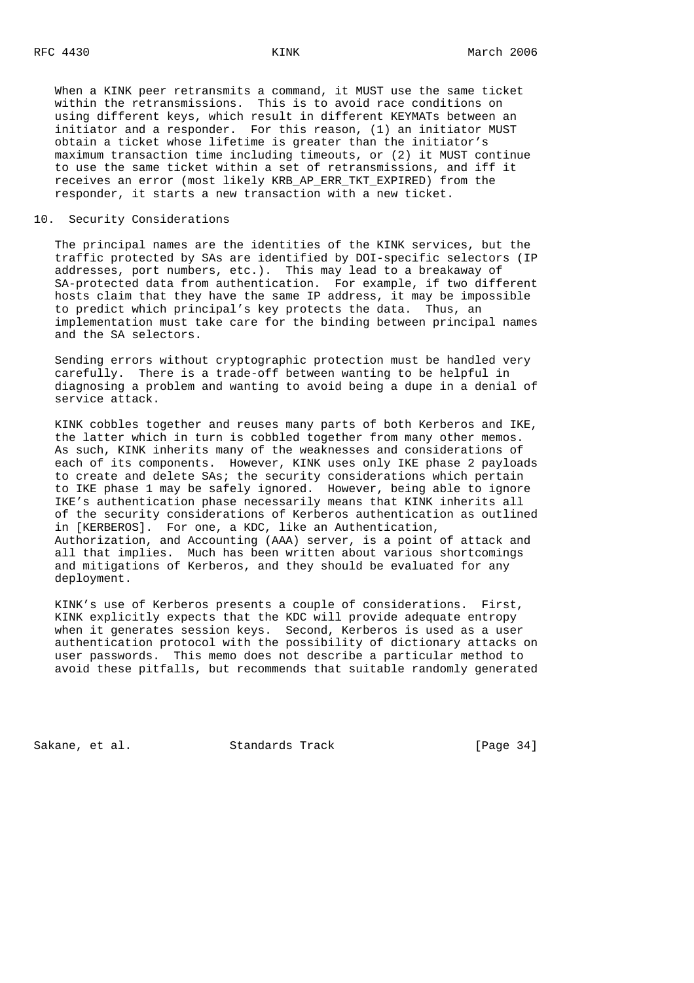When a KINK peer retransmits a command, it MUST use the same ticket within the retransmissions. This is to avoid race conditions on using different keys, which result in different KEYMATs between an initiator and a responder. For this reason, (1) an initiator MUST obtain a ticket whose lifetime is greater than the initiator's maximum transaction time including timeouts, or (2) it MUST continue to use the same ticket within a set of retransmissions, and iff it receives an error (most likely KRB\_AP\_ERR\_TKT\_EXPIRED) from the responder, it starts a new transaction with a new ticket.

### 10. Security Considerations

 The principal names are the identities of the KINK services, but the traffic protected by SAs are identified by DOI-specific selectors (IP addresses, port numbers, etc.). This may lead to a breakaway of SA-protected data from authentication. For example, if two different hosts claim that they have the same IP address, it may be impossible to predict which principal's key protects the data. Thus, an implementation must take care for the binding between principal names and the SA selectors.

 Sending errors without cryptographic protection must be handled very carefully. There is a trade-off between wanting to be helpful in diagnosing a problem and wanting to avoid being a dupe in a denial of service attack.

 KINK cobbles together and reuses many parts of both Kerberos and IKE, the latter which in turn is cobbled together from many other memos. As such, KINK inherits many of the weaknesses and considerations of each of its components. However, KINK uses only IKE phase 2 payloads to create and delete SAs; the security considerations which pertain to IKE phase 1 may be safely ignored. However, being able to ignore IKE's authentication phase necessarily means that KINK inherits all of the security considerations of Kerberos authentication as outlined in [KERBEROS]. For one, a KDC, like an Authentication, Authorization, and Accounting (AAA) server, is a point of attack and all that implies. Much has been written about various shortcomings and mitigations of Kerberos, and they should be evaluated for any deployment.

 KINK's use of Kerberos presents a couple of considerations. First, KINK explicitly expects that the KDC will provide adequate entropy when it generates session keys. Second, Kerberos is used as a user authentication protocol with the possibility of dictionary attacks on user passwords. This memo does not describe a particular method to avoid these pitfalls, but recommends that suitable randomly generated

Sakane, et al. Standards Track [Page 34]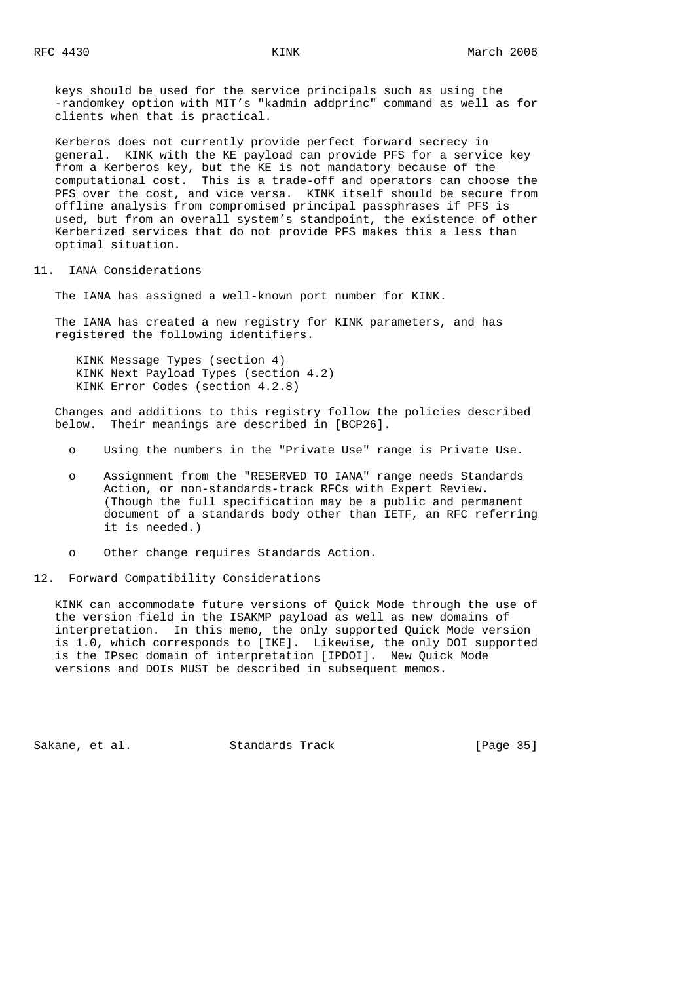keys should be used for the service principals such as using the -randomkey option with MIT's "kadmin addprinc" command as well as for clients when that is practical.

 Kerberos does not currently provide perfect forward secrecy in general. KINK with the KE payload can provide PFS for a service key from a Kerberos key, but the KE is not mandatory because of the computational cost. This is a trade-off and operators can choose the PFS over the cost, and vice versa. KINK itself should be secure from offline analysis from compromised principal passphrases if PFS is used, but from an overall system's standpoint, the existence of other Kerberized services that do not provide PFS makes this a less than optimal situation.

# 11. IANA Considerations

The IANA has assigned a well-known port number for KINK.

 The IANA has created a new registry for KINK parameters, and has registered the following identifiers.

 KINK Message Types (section 4) KINK Next Payload Types (section 4.2) KINK Error Codes (section 4.2.8)

 Changes and additions to this registry follow the policies described below. Their meanings are described in [BCP26].

- o Using the numbers in the "Private Use" range is Private Use.
- o Assignment from the "RESERVED TO IANA" range needs Standards Action, or non-standards-track RFCs with Expert Review. (Though the full specification may be a public and permanent document of a standards body other than IETF, an RFC referring it is needed.)
- o Other change requires Standards Action.

#### 12. Forward Compatibility Considerations

 KINK can accommodate future versions of Quick Mode through the use of the version field in the ISAKMP payload as well as new domains of interpretation. In this memo, the only supported Quick Mode version is 1.0, which corresponds to [IKE]. Likewise, the only DOI supported is the IPsec domain of interpretation [IPDOI]. New Quick Mode versions and DOIs MUST be described in subsequent memos.

Sakane, et al. Standards Track [Page 35]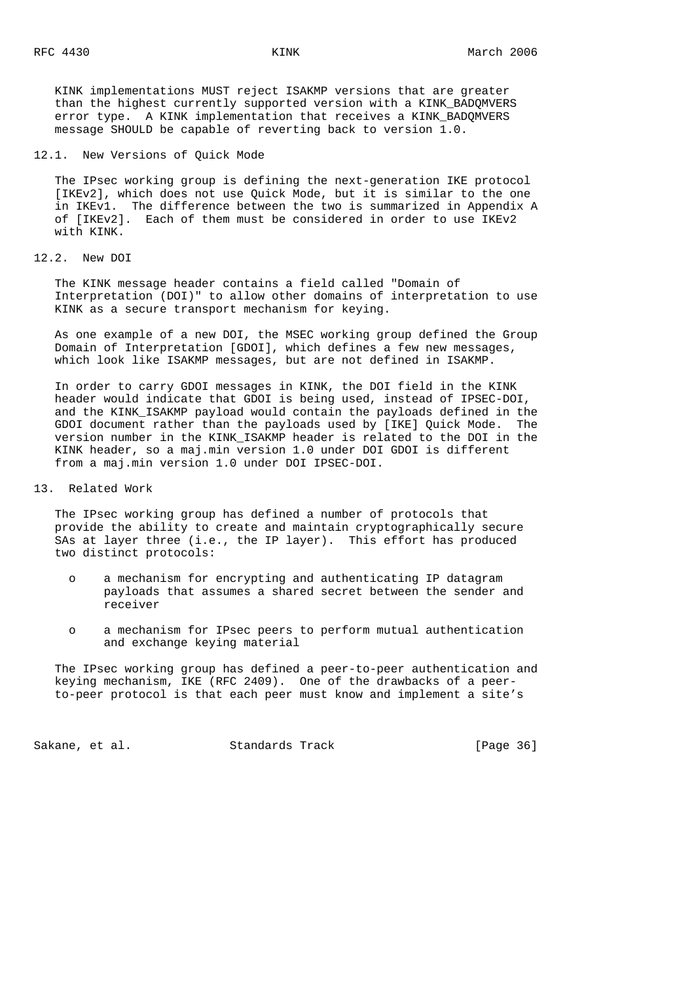KINK implementations MUST reject ISAKMP versions that are greater than the highest currently supported version with a KINK\_BADQMVERS error type. A KINK implementation that receives a KINK\_BADQMVERS message SHOULD be capable of reverting back to version 1.0.

12.1. New Versions of Quick Mode

 The IPsec working group is defining the next-generation IKE protocol [IKEv2], which does not use Quick Mode, but it is similar to the one in IKEv1. The difference between the two is summarized in Appendix A of [IKEv2]. Each of them must be considered in order to use IKEv2 with KINK.

#### 12.2. New DOI

 The KINK message header contains a field called "Domain of Interpretation (DOI)" to allow other domains of interpretation to use KINK as a secure transport mechanism for keying.

 As one example of a new DOI, the MSEC working group defined the Group Domain of Interpretation [GDOI], which defines a few new messages, which look like ISAKMP messages, but are not defined in ISAKMP.

 In order to carry GDOI messages in KINK, the DOI field in the KINK header would indicate that GDOI is being used, instead of IPSEC-DOI, and the KINK\_ISAKMP payload would contain the payloads defined in the GDOI document rather than the payloads used by [IKE] Quick Mode. The version number in the KINK\_ISAKMP header is related to the DOI in the KINK header, so a maj.min version 1.0 under DOI GDOI is different from a maj.min version 1.0 under DOI IPSEC-DOI.

#### 13. Related Work

 The IPsec working group has defined a number of protocols that provide the ability to create and maintain cryptographically secure SAs at layer three (i.e., the IP layer). This effort has produced two distinct protocols:

- o a mechanism for encrypting and authenticating IP datagram payloads that assumes a shared secret between the sender and receiver
- o a mechanism for IPsec peers to perform mutual authentication and exchange keying material

 The IPsec working group has defined a peer-to-peer authentication and keying mechanism, IKE (RFC 2409). One of the drawbacks of a peer to-peer protocol is that each peer must know and implement a site's

Sakane, et al. Standards Track [Page 36]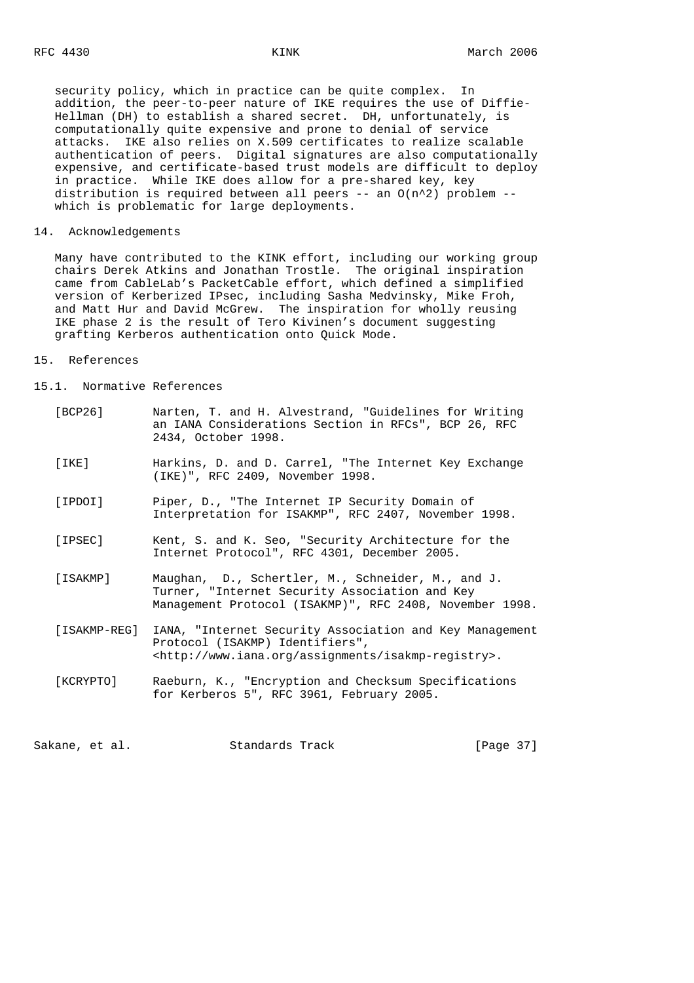security policy, which in practice can be quite complex. In addition, the peer-to-peer nature of IKE requires the use of Diffie- Hellman (DH) to establish a shared secret. DH, unfortunately, is computationally quite expensive and prone to denial of service attacks. IKE also relies on X.509 certificates to realize scalable authentication of peers. Digital signatures are also computationally expensive, and certificate-based trust models are difficult to deploy in practice. While IKE does allow for a pre-shared key, key distribution is required between all peers -- an  $O(n^2)$  problem -which is problematic for large deployments.

#### 14. Acknowledgements

 Many have contributed to the KINK effort, including our working group chairs Derek Atkins and Jonathan Trostle. The original inspiration came from CableLab's PacketCable effort, which defined a simplified version of Kerberized IPsec, including Sasha Medvinsky, Mike Froh, and Matt Hur and David McGrew. The inspiration for wholly reusing IKE phase 2 is the result of Tero Kivinen's document suggesting grafting Kerberos authentication onto Quick Mode.

#### 15. References

#### 15.1. Normative References

| [BCP26]      | Narten, T. and H. Alvestrand, "Guidelines for Writing<br>an IANA Considerations Section in RFCs", BCP 26, RFC<br>2434, October 1998.                             |
|--------------|------------------------------------------------------------------------------------------------------------------------------------------------------------------|
| [ IKE ]      | Harkins, D. and D. Carrel, "The Internet Key Exchange<br>(IKE)", RFC 2409, November 1998.                                                                        |
| [IPDOI]      | Piper, D., "The Internet IP Security Domain of<br>Interpretation for ISAKMP", RFC 2407, November 1998.                                                           |
| [IPSEC]      | Kent, S. and K. Seo, "Security Architecture for the<br>Internet Protocol", RFC 4301, December 2005.                                                              |
| [ISAKMP]     | Maughan, D., Schertler, M., Schneider, M., and J.<br>Turner, "Internet Security Association and Key<br>Management Protocol (ISAKMP)", RFC 2408, November 1998.   |
| [ISAKMP-REG] | IANA, "Internet Security Association and Key Management<br>Protocol (ISAKMP) Identifiers",<br><http: assignments="" isakmp-registry="" www.iana.org="">.</http:> |
| [KCRYPTO]    | Raeburn, K., "Encryption and Checksum Specifications<br>for Kerberos 5", RFC 3961, February 2005.                                                                |
|              |                                                                                                                                                                  |

Sakane, et al. Standards Track [Page 37]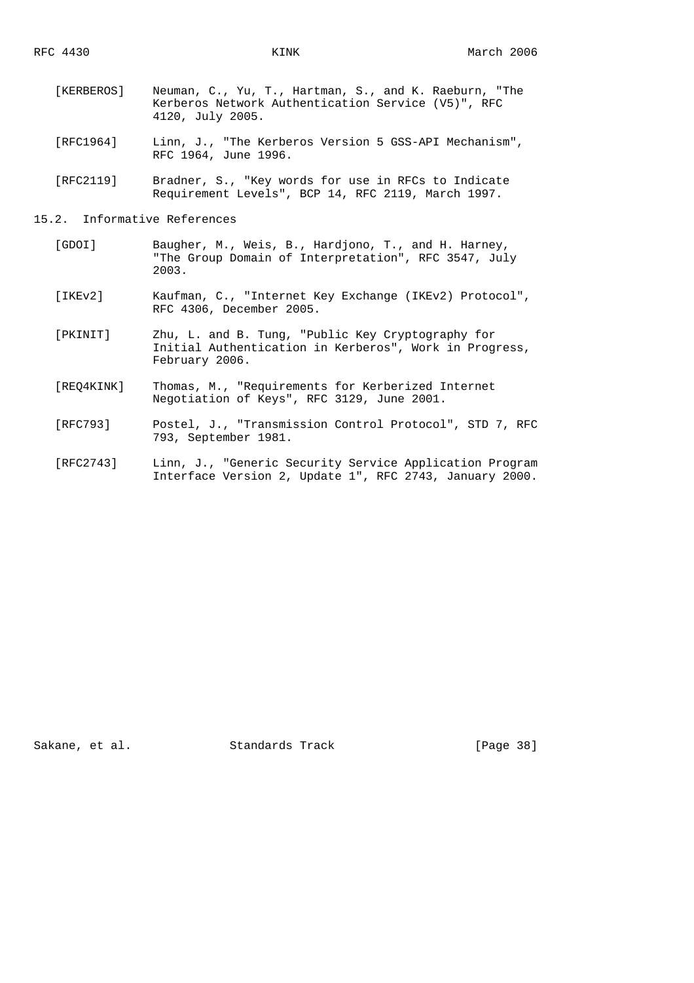- [KERBEROS] Neuman, C., Yu, T., Hartman, S., and K. Raeburn, "The Kerberos Network Authentication Service (V5)", RFC 4120, July 2005.
- [RFC1964] Linn, J., "The Kerberos Version 5 GSS-API Mechanism", RFC 1964, June 1996.
- [RFC2119] Bradner, S., "Key words for use in RFCs to Indicate Requirement Levels", BCP 14, RFC 2119, March 1997.

# 15.2. Informative References

- [GDOI] Baugher, M., Weis, B., Hardjono, T., and H. Harney, "The Group Domain of Interpretation", RFC 3547, July 2003.
- [IKEv2] Kaufman, C., "Internet Key Exchange (IKEv2) Protocol", RFC 4306, December 2005.
- [PKINIT] Zhu, L. and B. Tung, "Public Key Cryptography for Initial Authentication in Kerberos", Work in Progress, February 2006.
- [REQ4KINK] Thomas, M., "Requirements for Kerberized Internet Negotiation of Keys", RFC 3129, June 2001.
- [RFC793] Postel, J., "Transmission Control Protocol", STD 7, RFC 793, September 1981.
- [RFC2743] Linn, J., "Generic Security Service Application Program Interface Version 2, Update 1", RFC 2743, January 2000.

Sakane, et al. Standards Track [Page 38]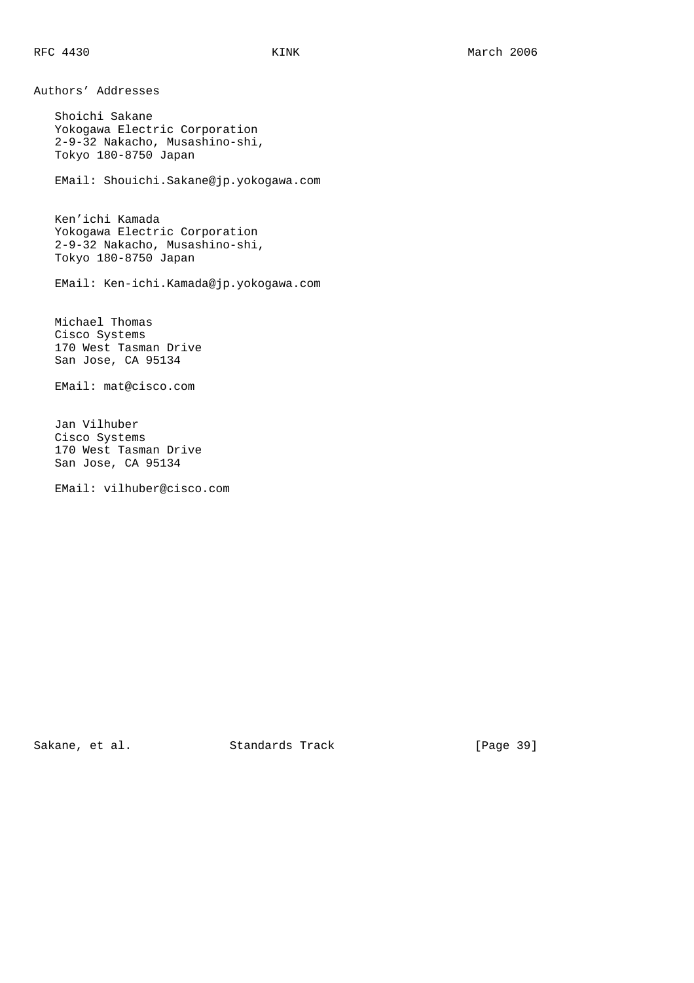Authors' Addresses Shoichi Sakane Yokogawa Electric Corporation 2-9-32 Nakacho, Musashino-shi, Tokyo 180-8750 Japan EMail: Shouichi.Sakane@jp.yokogawa.com Ken'ichi Kamada Yokogawa Electric Corporation 2-9-32 Nakacho, Musashino-shi, Tokyo 180-8750 Japan EMail: Ken-ichi.Kamada@jp.yokogawa.com Michael Thomas Cisco Systems 170 West Tasman Drive San Jose, CA 95134 EMail: mat@cisco.com Jan Vilhuber Cisco Systems 170 West Tasman Drive San Jose, CA 95134 EMail: vilhuber@cisco.com

Sakane, et al. Standards Track [Page 39]